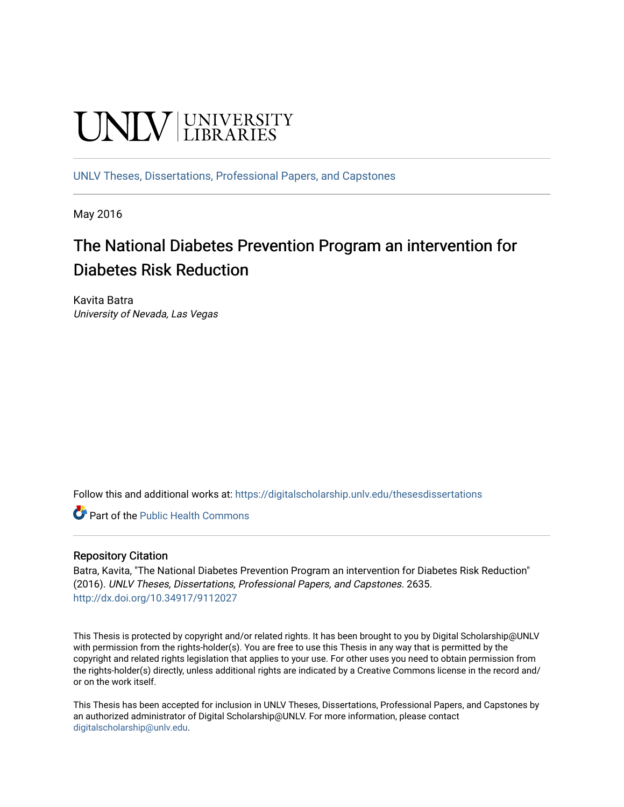# **UNIVERSITY**

[UNLV Theses, Dissertations, Professional Papers, and Capstones](https://digitalscholarship.unlv.edu/thesesdissertations)

May 2016

## The National Diabetes Prevention Program an intervention for Diabetes Risk Reduction

Kavita Batra University of Nevada, Las Vegas

Follow this and additional works at: [https://digitalscholarship.unlv.edu/thesesdissertations](https://digitalscholarship.unlv.edu/thesesdissertations?utm_source=digitalscholarship.unlv.edu%2Fthesesdissertations%2F2635&utm_medium=PDF&utm_campaign=PDFCoverPages)

**C** Part of the Public Health Commons

#### Repository Citation

Batra, Kavita, "The National Diabetes Prevention Program an intervention for Diabetes Risk Reduction" (2016). UNLV Theses, Dissertations, Professional Papers, and Capstones. 2635. <http://dx.doi.org/10.34917/9112027>

This Thesis is protected by copyright and/or related rights. It has been brought to you by Digital Scholarship@UNLV with permission from the rights-holder(s). You are free to use this Thesis in any way that is permitted by the copyright and related rights legislation that applies to your use. For other uses you need to obtain permission from the rights-holder(s) directly, unless additional rights are indicated by a Creative Commons license in the record and/ or on the work itself.

This Thesis has been accepted for inclusion in UNLV Theses, Dissertations, Professional Papers, and Capstones by an authorized administrator of Digital Scholarship@UNLV. For more information, please contact [digitalscholarship@unlv.edu](mailto:digitalscholarship@unlv.edu).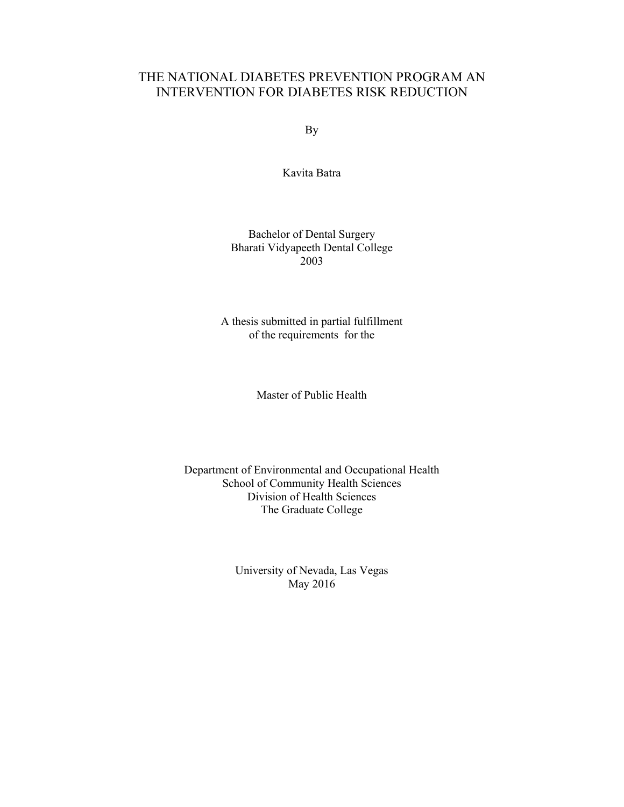## THE NATIONAL DIABETES PREVENTION PROGRAM AN INTERVENTION FOR DIABETES RISK REDUCTION

By

Kavita Batra

#### Bachelor of Dental Surgery Bharati Vidyapeeth Dental College 2003

A thesis submitted in partial fulfillment of the requirements for the

Master of Public Health

Department of Environmental and Occupational Health School of Community Health Sciences Division of Health Sciences The Graduate College

> University of Nevada, Las Vegas May 2016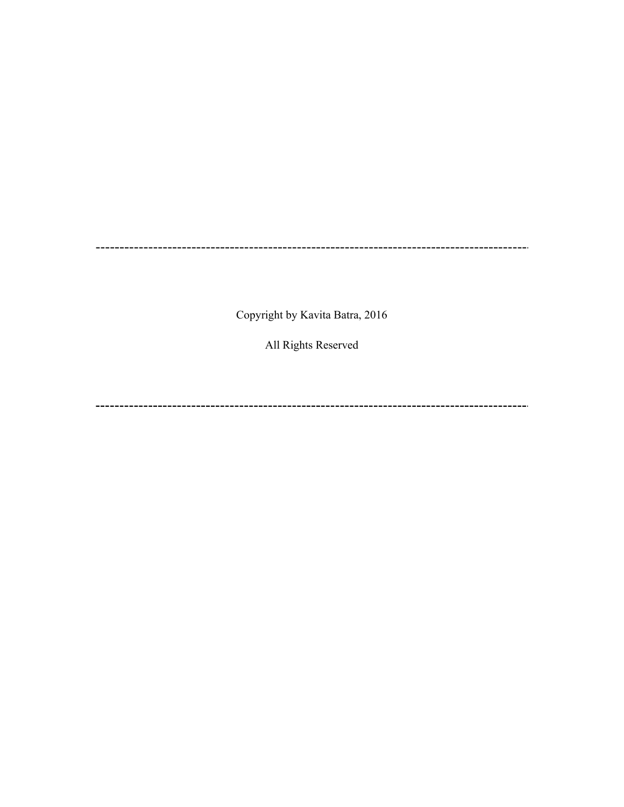Copyright by Kavita Batra, 2016

All Rights Reserved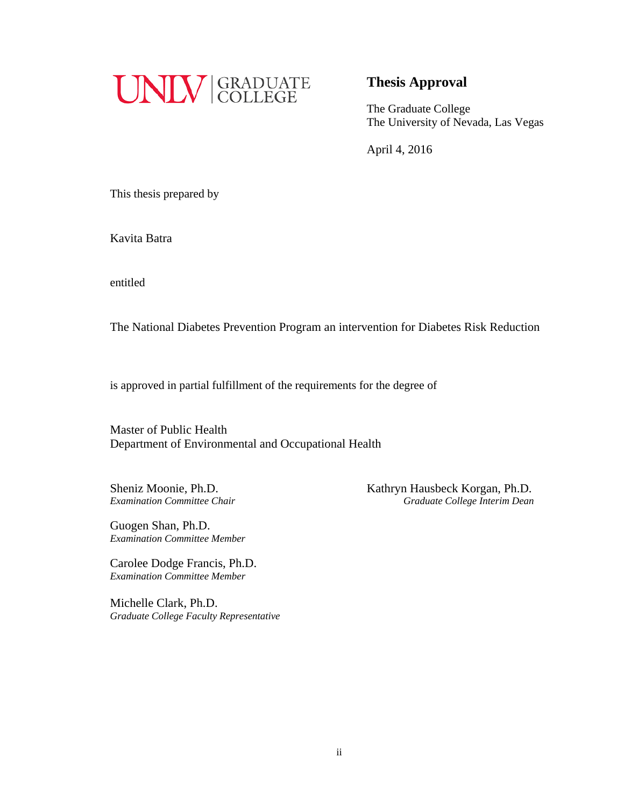

## **Thesis Approval**

The Graduate College The University of Nevada, Las Vegas

April 4, 2016

This thesis prepared by

Kavita Batra

entitled

The National Diabetes Prevention Program an intervention for Diabetes Risk Reduction

is approved in partial fulfillment of the requirements for the degree of

Master of Public Health Department of Environmental and Occupational Health

Sheniz Moonie, Ph.D. Kathryn Hausbeck Korgan, Ph.D. *Examination Committee Chair Graduate College Interim Dean*

Guogen Shan, Ph.D. *Examination Committee Member*

Carolee Dodge Francis, Ph.D. *Examination Committee Member*

Michelle Clark, Ph.D. *Graduate College Faculty Representative*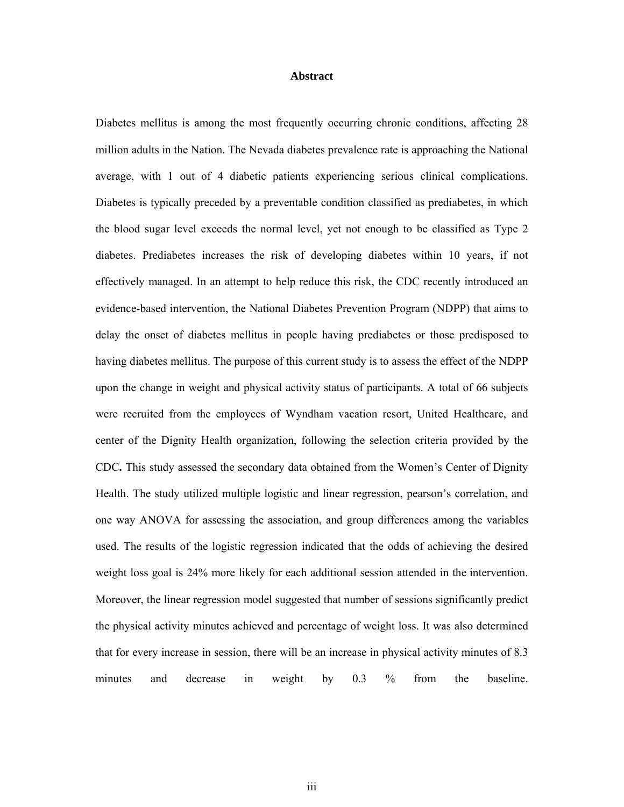#### **Abstract**

Diabetes mellitus is among the most frequently occurring chronic conditions, affecting 28 million adults in the Nation. The Nevada diabetes prevalence rate is approaching the National average, with 1 out of 4 diabetic patients experiencing serious clinical complications. Diabetes is typically preceded by a preventable condition classified as prediabetes, in which the blood sugar level exceeds the normal level, yet not enough to be classified as Type 2 diabetes. Prediabetes increases the risk of developing diabetes within 10 years, if not effectively managed. In an attempt to help reduce this risk, the CDC recently introduced an evidence-based intervention, the National Diabetes Prevention Program (NDPP) that aims to delay the onset of diabetes mellitus in people having prediabetes or those predisposed to having diabetes mellitus. The purpose of this current study is to assess the effect of the NDPP upon the change in weight and physical activity status of participants. A total of 66 subjects were recruited from the employees of Wyndham vacation resort, United Healthcare, and center of the Dignity Health organization, following the selection criteria provided by the CDC**.** This study assessed the secondary data obtained from the Women's Center of Dignity Health. The study utilized multiple logistic and linear regression, pearson's correlation, and one way ANOVA for assessing the association, and group differences among the variables used. The results of the logistic regression indicated that the odds of achieving the desired weight loss goal is 24% more likely for each additional session attended in the intervention. Moreover, the linear regression model suggested that number of sessions significantly predict the physical activity minutes achieved and percentage of weight loss. It was also determined that for every increase in session, there will be an increase in physical activity minutes of 8.3 minutes and decrease in weight by 0.3 % from the baseline.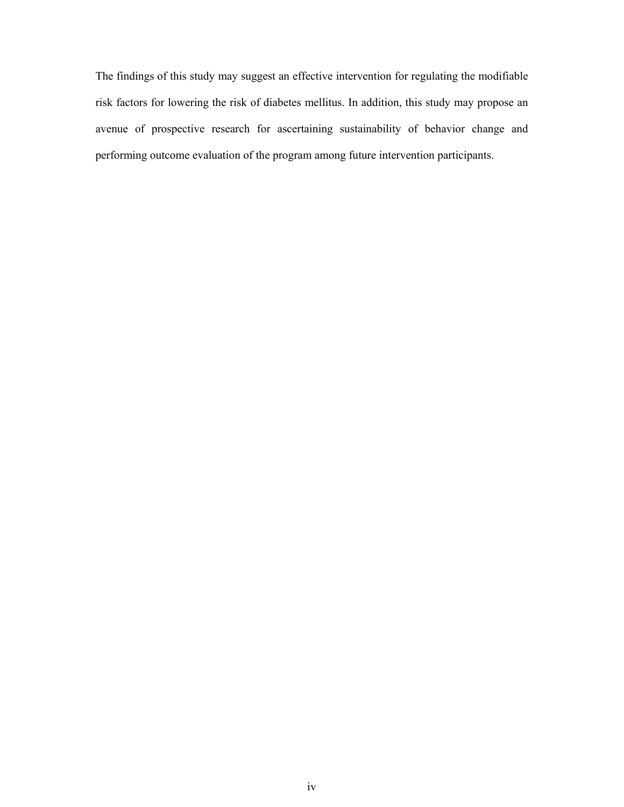The findings of this study may suggest an effective intervention for regulating the modifiable risk factors for lowering the risk of diabetes mellitus. In addition, this study may propose an avenue of prospective research for ascertaining sustainability of behavior change and performing outcome evaluation of the program among future intervention participants.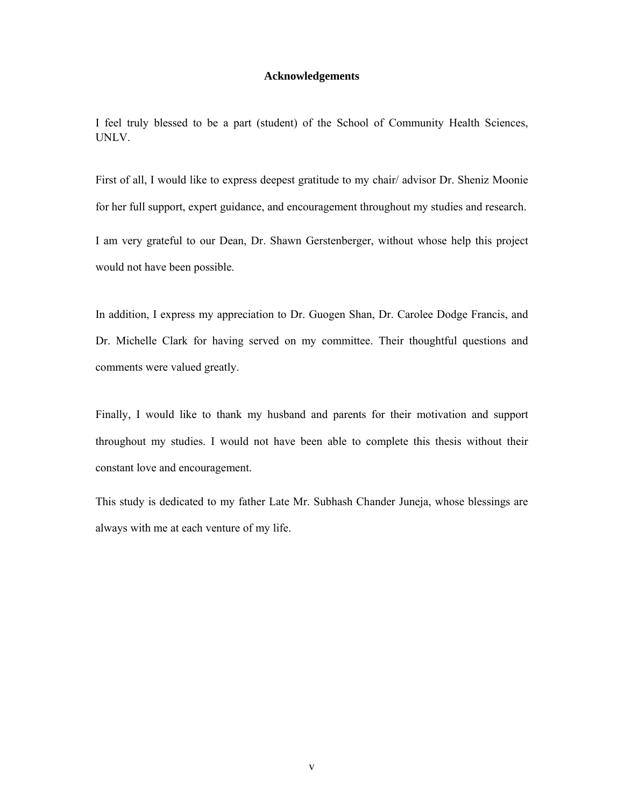#### **Acknowledgements**

I feel truly blessed to be a part (student) of the School of Community Health Sciences, UNLV.

First of all, I would like to express deepest gratitude to my chair/ advisor Dr. Sheniz Moonie for her full support, expert guidance, and encouragement throughout my studies and research.

I am very grateful to our Dean, Dr. Shawn Gerstenberger, without whose help this project would not have been possible.

In addition, I express my appreciation to Dr. Guogen Shan, Dr. Carolee Dodge Francis, and Dr. Michelle Clark for having served on my committee. Their thoughtful questions and comments were valued greatly.

Finally, I would like to thank my husband and parents for their motivation and support throughout my studies. I would not have been able to complete this thesis without their constant love and encouragement.

This study is dedicated to my father Late Mr. Subhash Chander Juneja, whose blessings are always with me at each venture of my life.

v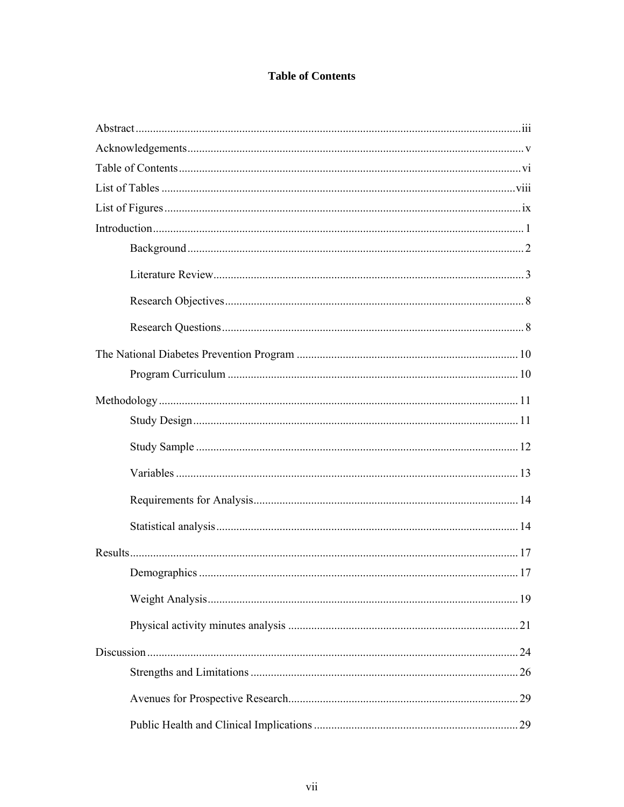## **Table of Contents**

| 29 |
|----|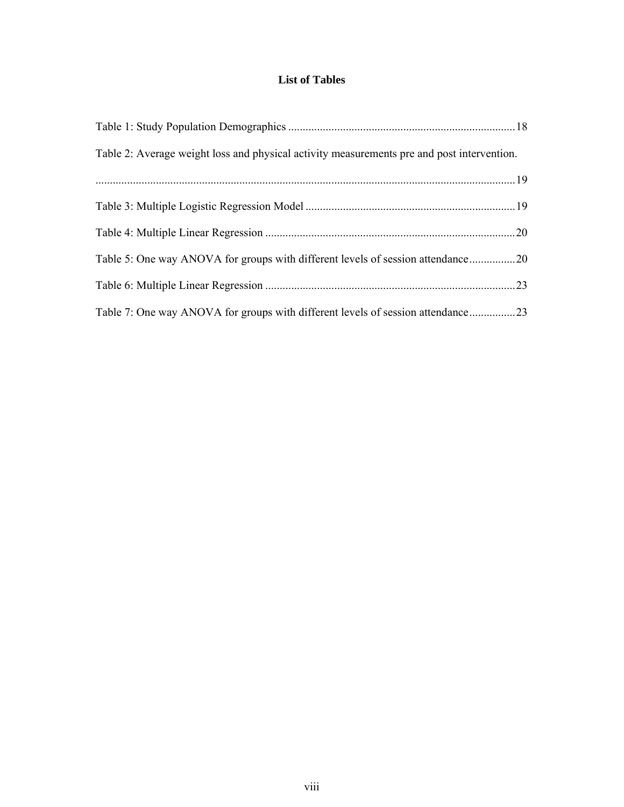### **List of Tables**

| Table 2: Average weight loss and physical activity measurements pre and post intervention. |     |
|--------------------------------------------------------------------------------------------|-----|
| $19$                                                                                       |     |
|                                                                                            |     |
|                                                                                            | .20 |
| Table 5: One way ANOVA for groups with different levels of session attendance20            |     |
|                                                                                            | .23 |
|                                                                                            |     |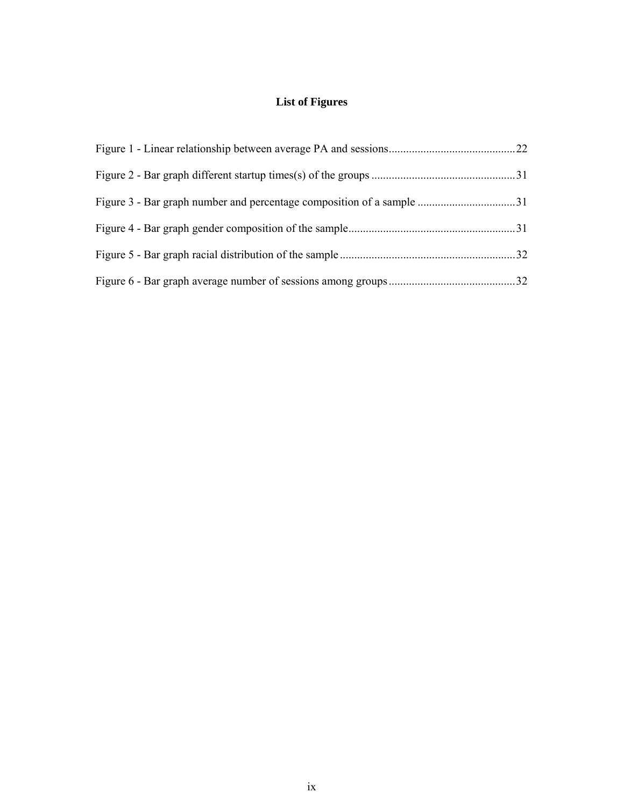## **List of Figures**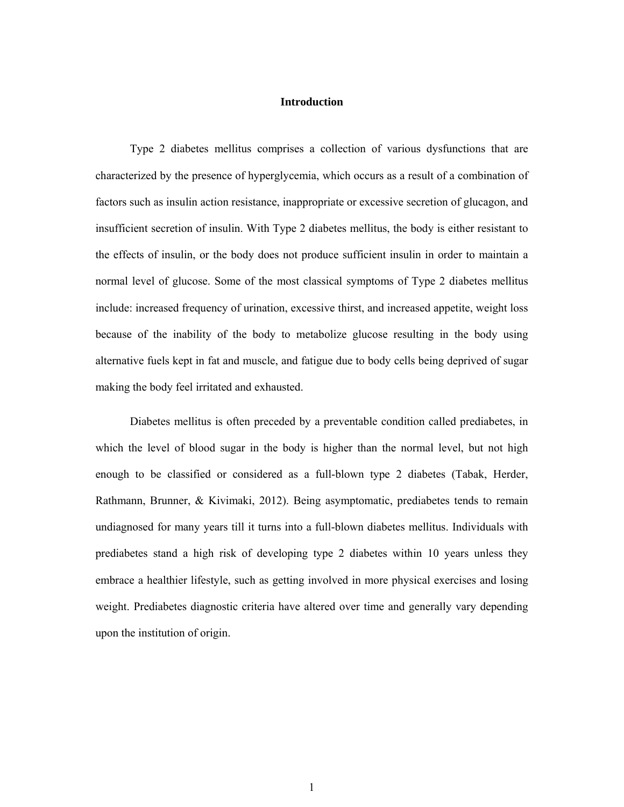#### **Introduction**

Type 2 diabetes mellitus comprises a collection of various dysfunctions that are characterized by the presence of hyperglycemia, which occurs as a result of a combination of factors such as insulin action resistance, inappropriate or excessive secretion of glucagon, and insufficient secretion of insulin. With Type 2 diabetes mellitus, the body is either resistant to the effects of insulin, or the body does not produce sufficient insulin in order to maintain a normal level of glucose. Some of the most classical symptoms of Type 2 diabetes mellitus include: increased frequency of urination, excessive thirst, and increased appetite, weight loss because of the inability of the body to metabolize glucose resulting in the body using alternative fuels kept in fat and muscle, and fatigue due to body cells being deprived of sugar making the body feel irritated and exhausted.

Diabetes mellitus is often preceded by a preventable condition called prediabetes, in which the level of blood sugar in the body is higher than the normal level, but not high enough to be classified or considered as a full-blown type 2 diabetes (Tabak, Herder, Rathmann, Brunner, & Kivimaki, 2012). Being asymptomatic, prediabetes tends to remain undiagnosed for many years till it turns into a full-blown diabetes mellitus. Individuals with prediabetes stand a high risk of developing type 2 diabetes within 10 years unless they embrace a healthier lifestyle, such as getting involved in more physical exercises and losing weight. Prediabetes diagnostic criteria have altered over time and generally vary depending upon the institution of origin.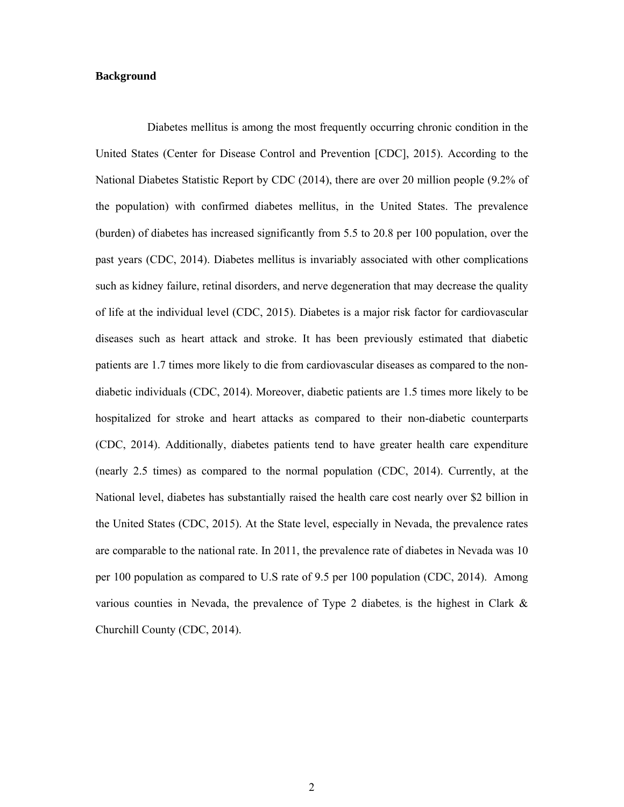#### **Background**

 Diabetes mellitus is among the most frequently occurring chronic condition in the United States (Center for Disease Control and Prevention [CDC], 2015). According to the National Diabetes Statistic Report by CDC (2014), there are over 20 million people (9.2% of the population) with confirmed diabetes mellitus, in the United States. The prevalence (burden) of diabetes has increased significantly from 5.5 to 20.8 per 100 population, over the past years (CDC, 2014). Diabetes mellitus is invariably associated with other complications such as kidney failure, retinal disorders, and nerve degeneration that may decrease the quality of life at the individual level (CDC, 2015). Diabetes is a major risk factor for cardiovascular diseases such as heart attack and stroke. It has been previously estimated that diabetic patients are 1.7 times more likely to die from cardiovascular diseases as compared to the nondiabetic individuals (CDC, 2014). Moreover, diabetic patients are 1.5 times more likely to be hospitalized for stroke and heart attacks as compared to their non-diabetic counterparts (CDC, 2014). Additionally, diabetes patients tend to have greater health care expenditure (nearly 2.5 times) as compared to the normal population (CDC, 2014). Currently, at the National level, diabetes has substantially raised the health care cost nearly over \$2 billion in the United States (CDC, 2015). At the State level, especially in Nevada, the prevalence rates are comparable to the national rate. In 2011, the prevalence rate of diabetes in Nevada was 10 per 100 population as compared to U.S rate of 9.5 per 100 population (CDC, 2014). Among various counties in Nevada, the prevalence of Type 2 diabetes, is the highest in Clark & Churchill County (CDC, 2014).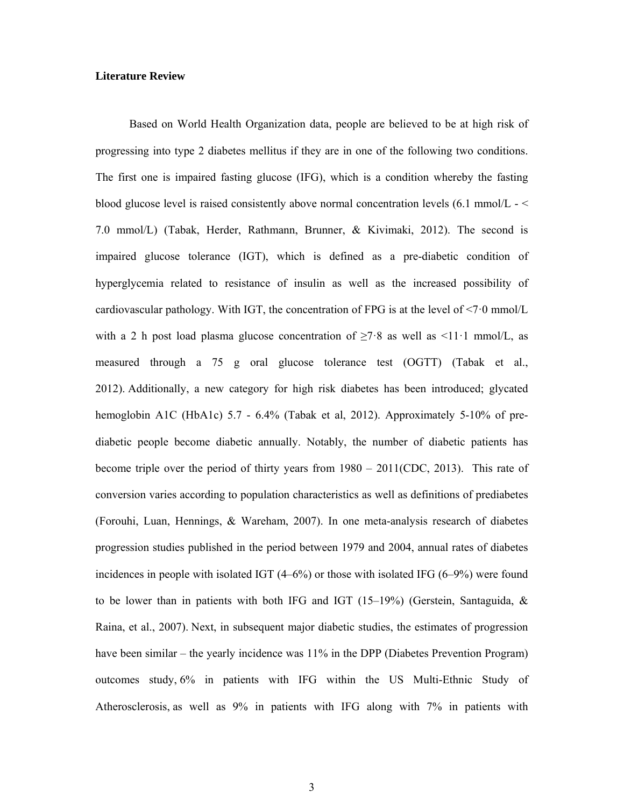#### **Literature Review**

Based on World Health Organization data, people are believed to be at high risk of progressing into type 2 diabetes mellitus if they are in one of the following two conditions. The first one is impaired fasting glucose (IFG), which is a condition whereby the fasting blood glucose level is raised consistently above normal concentration levels (6.1 mmol/L - < 7.0 mmol/L) (Tabak, Herder, Rathmann, Brunner, & Kivimaki, 2012). The second is impaired glucose tolerance (IGT), which is defined as a pre-diabetic condition of hyperglycemia related to resistance of insulin as well as the increased possibility of cardiovascular pathology. With IGT, the concentration of FPG is at the level of  $\leq 7.0$  mmol/L with a 2 h post load plasma glucose concentration of  $\geq 7.8$  as well as  $\leq 11.1$  mmol/L, as measured through a 75 g oral glucose tolerance test (OGTT) (Tabak et al., 2012). Additionally, a new category for high risk diabetes has been introduced; glycated hemoglobin A1C (HbA1c) 5.7 - 6.4% (Tabak et al, 2012). Approximately 5-10% of prediabetic people become diabetic annually. Notably, the number of diabetic patients has become triple over the period of thirty years from 1980 – 2011(CDC, 2013). This rate of conversion varies according to population characteristics as well as definitions of prediabetes (Forouhi, Luan, Hennings, & Wareham, 2007). In one meta-analysis research of diabetes progression studies published in the period between 1979 and 2004, annual rates of diabetes incidences in people with isolated IGT (4–6%) or those with isolated IFG (6–9%) were found to be lower than in patients with both IFG and IGT (15–19%) (Gerstein, Santaguida,  $\&$ Raina, et al., 2007). Next, in subsequent major diabetic studies, the estimates of progression have been similar – the yearly incidence was 11% in the DPP (Diabetes Prevention Program) outcomes study, 6% in patients with IFG within the US Multi-Ethnic Study of Atherosclerosis, as well as 9% in patients with IFG along with 7% in patients with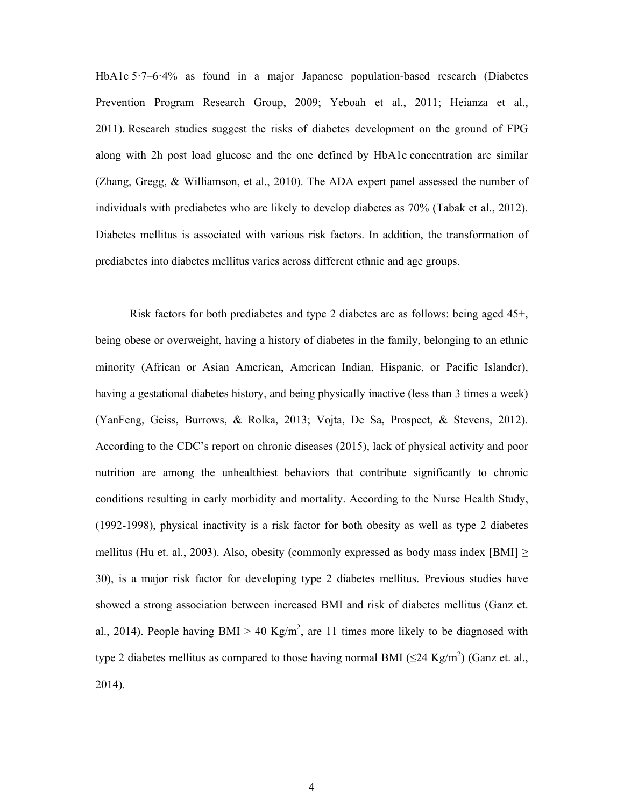HbA1c 5.7–6.4% as found in a major Japanese population-based research (Diabetes Prevention Program Research Group, 2009; Yeboah et al., 2011; Heianza et al., 2011). Research studies suggest the risks of diabetes development on the ground of FPG along with 2h post load glucose and the one defined by HbA1c concentration are similar (Zhang, Gregg, & Williamson, et al., 2010). The ADA expert panel assessed the number of individuals with prediabetes who are likely to develop diabetes as 70% (Tabak et al., 2012). Diabetes mellitus is associated with various risk factors. In addition, the transformation of prediabetes into diabetes mellitus varies across different ethnic and age groups.

Risk factors for both prediabetes and type 2 diabetes are as follows: being aged 45+, being obese or overweight, having a history of diabetes in the family, belonging to an ethnic minority (African or Asian American, American Indian, Hispanic, or Pacific Islander), having a gestational diabetes history, and being physically inactive (less than 3 times a week) (YanFeng, Geiss, Burrows, & Rolka, 2013; Vojta, De Sa, Prospect, & Stevens, 2012). According to the CDC's report on chronic diseases (2015), lack of physical activity and poor nutrition are among the unhealthiest behaviors that contribute significantly to chronic conditions resulting in early morbidity and mortality. According to the Nurse Health Study, (1992-1998), physical inactivity is a risk factor for both obesity as well as type 2 diabetes mellitus (Hu et. al., 2003). Also, obesity (commonly expressed as body mass index [BMI]  $\ge$ 30), is a major risk factor for developing type 2 diabetes mellitus. Previous studies have showed a strong association between increased BMI and risk of diabetes mellitus (Ganz et. al., 2014). People having BMI > 40 Kg/m<sup>2</sup>, are 11 times more likely to be diagnosed with type 2 diabetes mellitus as compared to those having normal BMI ( $\leq$ 24 Kg/m<sup>2</sup>) (Ganz et. al., 2014).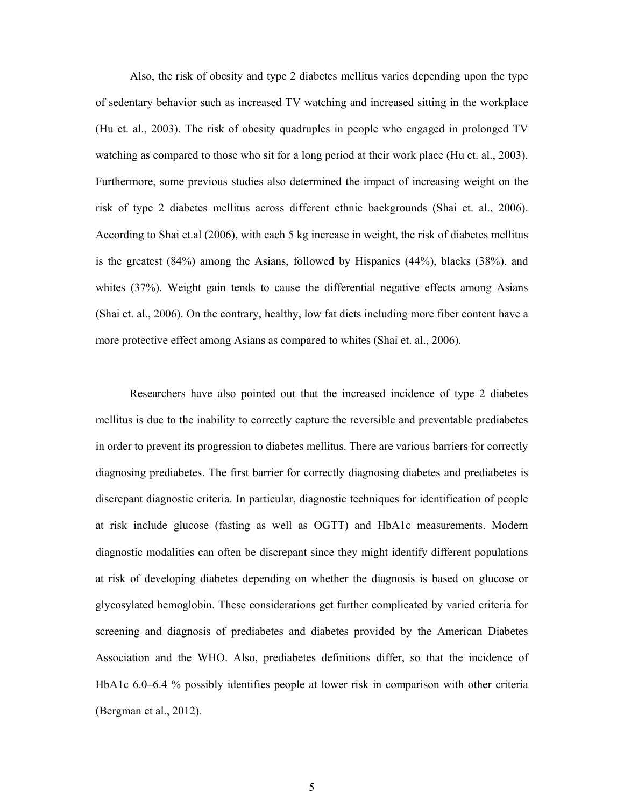Also, the risk of obesity and type 2 diabetes mellitus varies depending upon the type of sedentary behavior such as increased TV watching and increased sitting in the workplace (Hu et. al., 2003). The risk of obesity quadruples in people who engaged in prolonged TV watching as compared to those who sit for a long period at their work place (Hu et. al., 2003). Furthermore, some previous studies also determined the impact of increasing weight on the risk of type 2 diabetes mellitus across different ethnic backgrounds (Shai et. al., 2006). According to Shai et.al (2006), with each 5 kg increase in weight, the risk of diabetes mellitus is the greatest (84%) among the Asians, followed by Hispanics (44%), blacks (38%), and whites (37%). Weight gain tends to cause the differential negative effects among Asians (Shai et. al., 2006). On the contrary, healthy, low fat diets including more fiber content have a more protective effect among Asians as compared to whites (Shai et. al., 2006).

Researchers have also pointed out that the increased incidence of type 2 diabetes mellitus is due to the inability to correctly capture the reversible and preventable prediabetes in order to prevent its progression to diabetes mellitus. There are various barriers for correctly diagnosing prediabetes. The first barrier for correctly diagnosing diabetes and prediabetes is discrepant diagnostic criteria. In particular, diagnostic techniques for identification of people at risk include glucose (fasting as well as OGTT) and HbA1c measurements. Modern diagnostic modalities can often be discrepant since they might identify different populations at risk of developing diabetes depending on whether the diagnosis is based on glucose or glycosylated hemoglobin. These considerations get further complicated by varied criteria for screening and diagnosis of prediabetes and diabetes provided by the American Diabetes Association and the WHO. Also, prediabetes definitions differ, so that the incidence of HbA1c 6.0–6.4 % possibly identifies people at lower risk in comparison with other criteria (Bergman et al., 2012).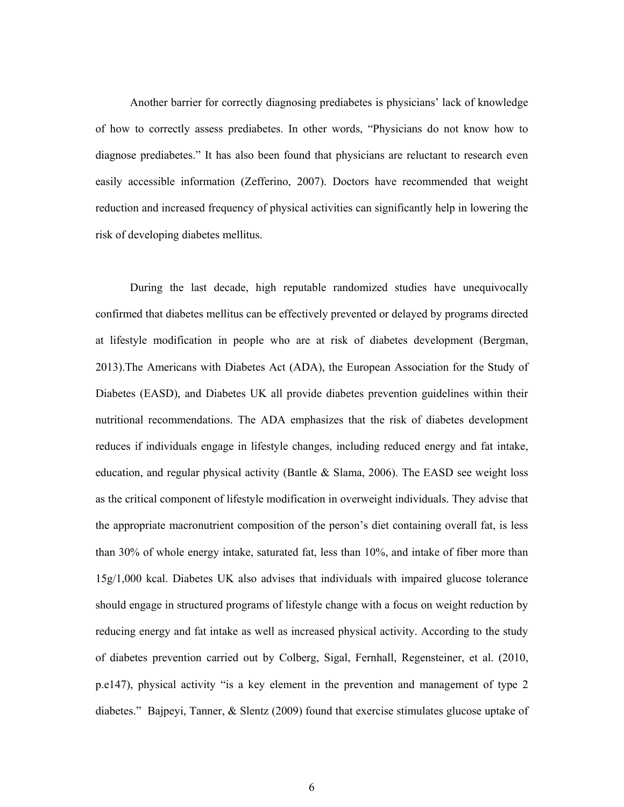Another barrier for correctly diagnosing prediabetes is physicians' lack of knowledge of how to correctly assess prediabetes. In other words, "Physicians do not know how to diagnose prediabetes." It has also been found that physicians are reluctant to research even easily accessible information (Zefferino, 2007). Doctors have recommended that weight reduction and increased frequency of physical activities can significantly help in lowering the risk of developing diabetes mellitus.

During the last decade, high reputable randomized studies have unequivocally confirmed that diabetes mellitus can be effectively prevented or delayed by programs directed at lifestyle modification in people who are at risk of diabetes development (Bergman, 2013).The Americans with Diabetes Act (ADA), the European Association for the Study of Diabetes (EASD), and Diabetes UK all provide diabetes prevention guidelines within their nutritional recommendations. The ADA emphasizes that the risk of diabetes development reduces if individuals engage in lifestyle changes, including reduced energy and fat intake, education, and regular physical activity (Bantle  $\&$  Slama, 2006). The EASD see weight loss as the critical component of lifestyle modification in overweight individuals. They advise that the appropriate macronutrient composition of the person's diet containing overall fat, is less than 30% of whole energy intake, saturated fat, less than 10%, and intake of fiber more than 15g/1,000 kcal. Diabetes UK also advises that individuals with impaired glucose tolerance should engage in structured programs of lifestyle change with a focus on weight reduction by reducing energy and fat intake as well as increased physical activity. According to the study of diabetes prevention carried out by Colberg, Sigal, Fernhall, Regensteiner, et al. (2010, p.e147), physical activity "is a key element in the prevention and management of type 2 diabetes." Bajpeyi, Tanner, & Slentz (2009) found that exercise stimulates glucose uptake of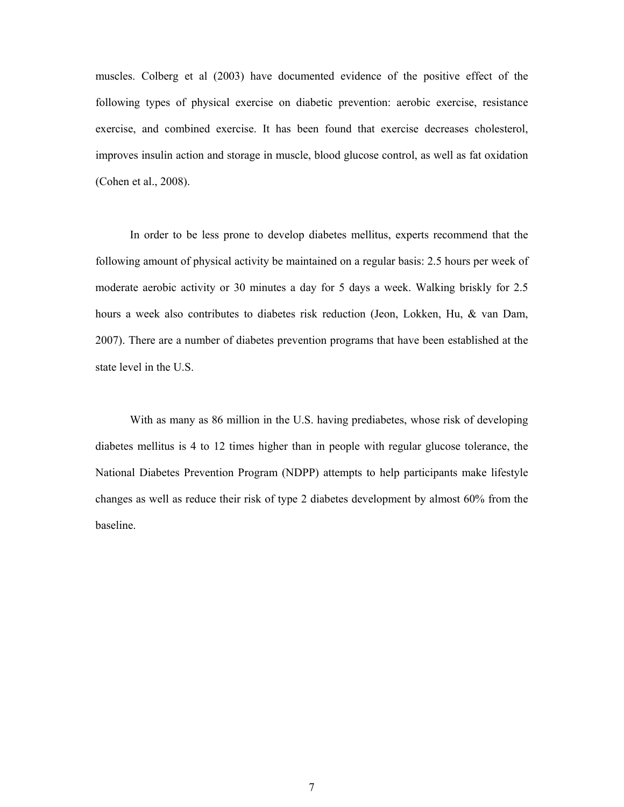muscles. Colberg et al (2003) have documented evidence of the positive effect of the following types of physical exercise on diabetic prevention: aerobic exercise, resistance exercise, and combined exercise. It has been found that exercise decreases cholesterol, improves insulin action and storage in muscle, blood glucose control, as well as fat oxidation (Cohen et al., 2008).

In order to be less prone to develop diabetes mellitus, experts recommend that the following amount of physical activity be maintained on a regular basis: 2.5 hours per week of moderate aerobic activity or 30 minutes a day for 5 days a week. Walking briskly for 2.5 hours a week also contributes to diabetes risk reduction (Jeon, Lokken, Hu, & van Dam, 2007). There are a number of diabetes prevention programs that have been established at the state level in the U.S.

With as many as 86 million in the U.S. having prediabetes, whose risk of developing diabetes mellitus is 4 to 12 times higher than in people with regular glucose tolerance, the National Diabetes Prevention Program (NDPP) attempts to help participants make lifestyle changes as well as reduce their risk of type 2 diabetes development by almost 60% from the baseline.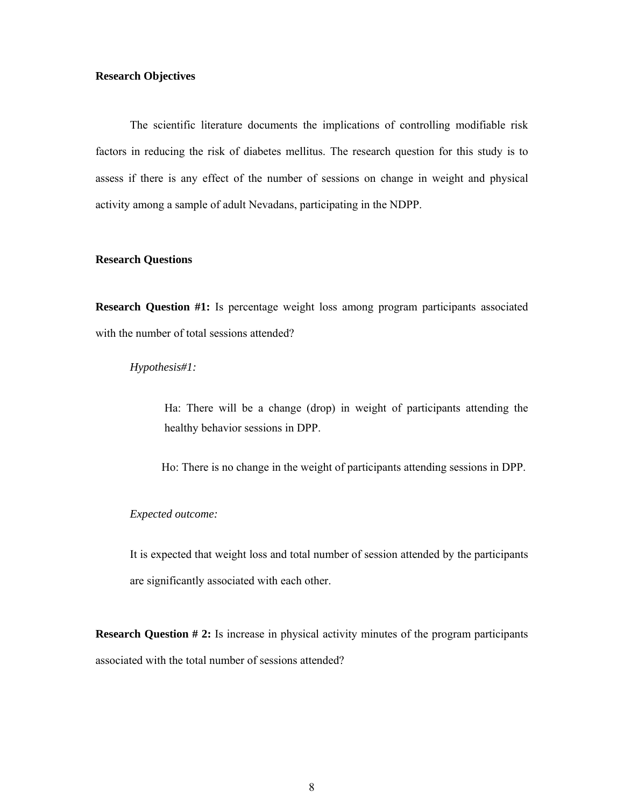#### **Research Objectives**

The scientific literature documents the implications of controlling modifiable risk factors in reducing the risk of diabetes mellitus. The research question for this study is to assess if there is any effect of the number of sessions on change in weight and physical activity among a sample of adult Nevadans, participating in the NDPP.

#### **Research Questions**

**Research Question #1:** Is percentage weight loss among program participants associated with the number of total sessions attended?

#### *Hypothesis#1:*

Ha: There will be a change (drop) in weight of participants attending the healthy behavior sessions in DPP.

Ho: There is no change in the weight of participants attending sessions in DPP.

#### *Expected outcome:*

It is expected that weight loss and total number of session attended by the participants are significantly associated with each other.

**Research Question # 2:** Is increase in physical activity minutes of the program participants associated with the total number of sessions attended?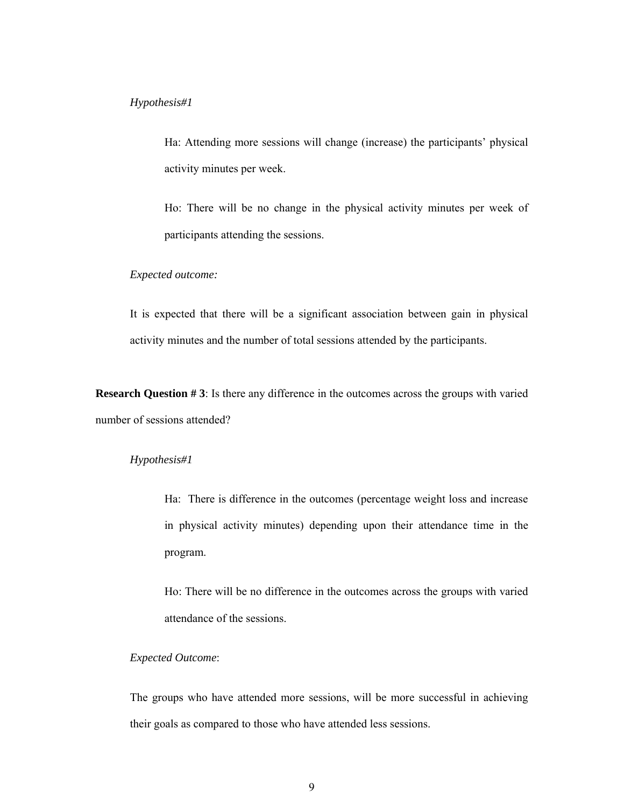#### *Hypothesis#1*

Ha: Attending more sessions will change (increase) the participants' physical activity minutes per week.

Ho: There will be no change in the physical activity minutes per week of participants attending the sessions.

#### *Expected outcome:*

It is expected that there will be a significant association between gain in physical activity minutes and the number of total sessions attended by the participants.

**Research Question #3**: Is there any difference in the outcomes across the groups with varied number of sessions attended?

#### *Hypothesis#1*

Ha: There is difference in the outcomes (percentage weight loss and increase in physical activity minutes) depending upon their attendance time in the program.

Ho: There will be no difference in the outcomes across the groups with varied attendance of the sessions.

#### *Expected Outcome*:

The groups who have attended more sessions, will be more successful in achieving their goals as compared to those who have attended less sessions.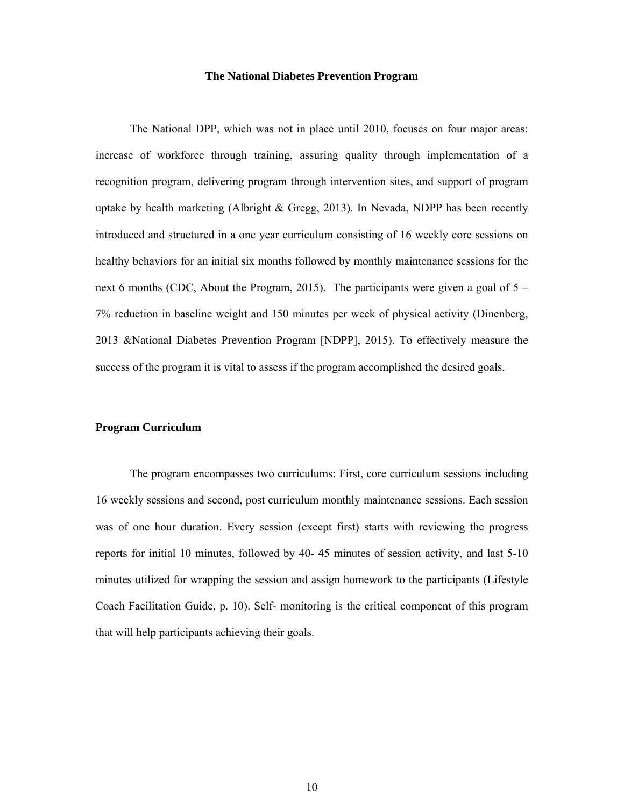#### **The National Diabetes Prevention Program**

The National DPP, which was not in place until 2010, focuses on four major areas: increase of workforce through training, assuring quality through implementation of a recognition program, delivering program through intervention sites, and support of program uptake by health marketing (Albright  $& Gregg, 2013$ ). In Nevada, NDPP has been recently introduced and structured in a one year curriculum consisting of 16 weekly core sessions on healthy behaviors for an initial six months followed by monthly maintenance sessions for the next 6 months (CDC, About the Program, 2015). The participants were given a goal of  $5 -$ 7% reduction in baseline weight and 150 minutes per week of physical activity (Dinenberg, 2013 &National Diabetes Prevention Program [NDPP], 2015). To effectively measure the success of the program it is vital to assess if the program accomplished the desired goals.

#### **Program Curriculum**

The program encompasses two curriculums: First, core curriculum sessions including 16 weekly sessions and second, post curriculum monthly maintenance sessions. Each session was of one hour duration. Every session (except first) starts with reviewing the progress reports for initial 10 minutes, followed by 40- 45 minutes of session activity, and last 5-10 minutes utilized for wrapping the session and assign homework to the participants (Lifestyle Coach Facilitation Guide, p. 10). Self- monitoring is the critical component of this program that will help participants achieving their goals.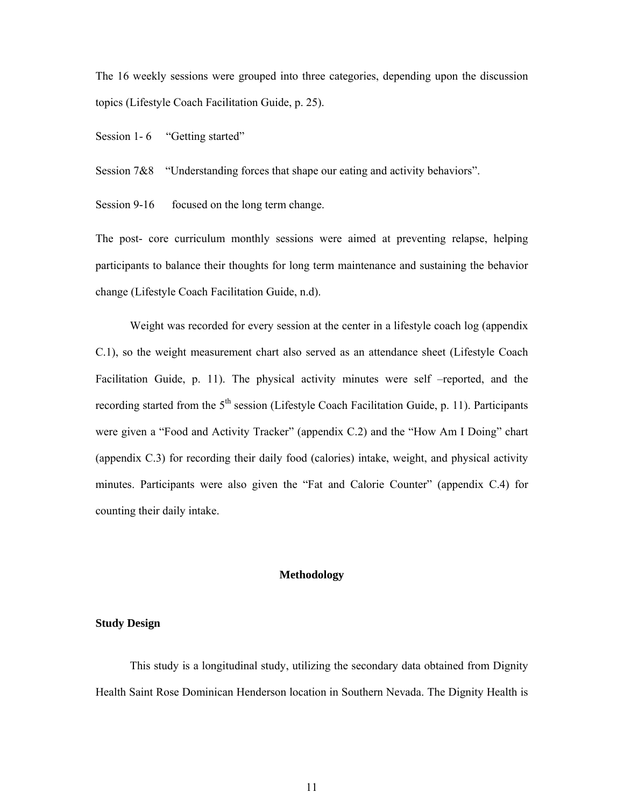The 16 weekly sessions were grouped into three categories, depending upon the discussion topics (Lifestyle Coach Facilitation Guide, p. 25).

Session 1-6 "Getting started"

Session 7&8 "Understanding forces that shape our eating and activity behaviors".

Session 9-16 focused on the long term change.

The post- core curriculum monthly sessions were aimed at preventing relapse, helping participants to balance their thoughts for long term maintenance and sustaining the behavior change (Lifestyle Coach Facilitation Guide, n.d).

Weight was recorded for every session at the center in a lifestyle coach log (appendix C.1), so the weight measurement chart also served as an attendance sheet (Lifestyle Coach Facilitation Guide, p. 11). The physical activity minutes were self –reported, and the recording started from the  $5<sup>th</sup>$  session (Lifestyle Coach Facilitation Guide, p. 11). Participants were given a "Food and Activity Tracker" (appendix C.2) and the "How Am I Doing" chart (appendix C.3) for recording their daily food (calories) intake, weight, and physical activity minutes. Participants were also given the "Fat and Calorie Counter" (appendix C.4) for counting their daily intake.

#### **Methodology**

#### **Study Design**

This study is a longitudinal study, utilizing the secondary data obtained from Dignity Health Saint Rose Dominican Henderson location in Southern Nevada. The Dignity Health is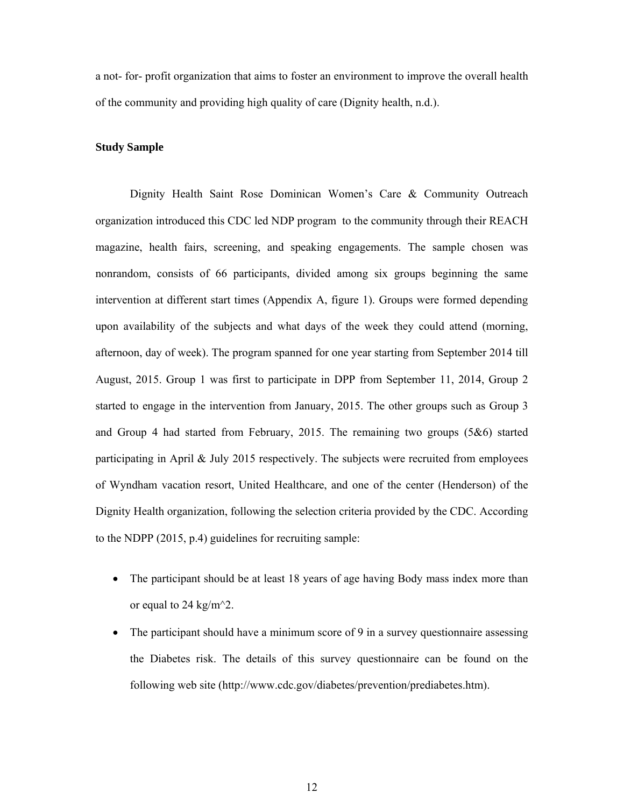a not- for- profit organization that aims to foster an environment to improve the overall health of the community and providing high quality of care (Dignity health, n.d.).

#### **Study Sample**

Dignity Health Saint Rose Dominican Women's Care & Community Outreach organization introduced this CDC led NDP program to the community through their REACH magazine, health fairs, screening, and speaking engagements. The sample chosen was nonrandom, consists of 66 participants, divided among six groups beginning the same intervention at different start times (Appendix A, figure 1). Groups were formed depending upon availability of the subjects and what days of the week they could attend (morning, afternoon, day of week). The program spanned for one year starting from September 2014 till August, 2015. Group 1 was first to participate in DPP from September 11, 2014, Group 2 started to engage in the intervention from January, 2015. The other groups such as Group 3 and Group 4 had started from February, 2015. The remaining two groups (5&6) started participating in April & July 2015 respectively. The subjects were recruited from employees of Wyndham vacation resort, United Healthcare, and one of the center (Henderson) of the Dignity Health organization, following the selection criteria provided by the CDC. According to the NDPP (2015, p.4) guidelines for recruiting sample:

- The participant should be at least 18 years of age having Body mass index more than or equal to 24 kg/m^2.
- The participant should have a minimum score of 9 in a survey questionnaire assessing the Diabetes risk. The details of this survey questionnaire can be found on the following web site (http://www.cdc.gov/diabetes/prevention/prediabetes.htm).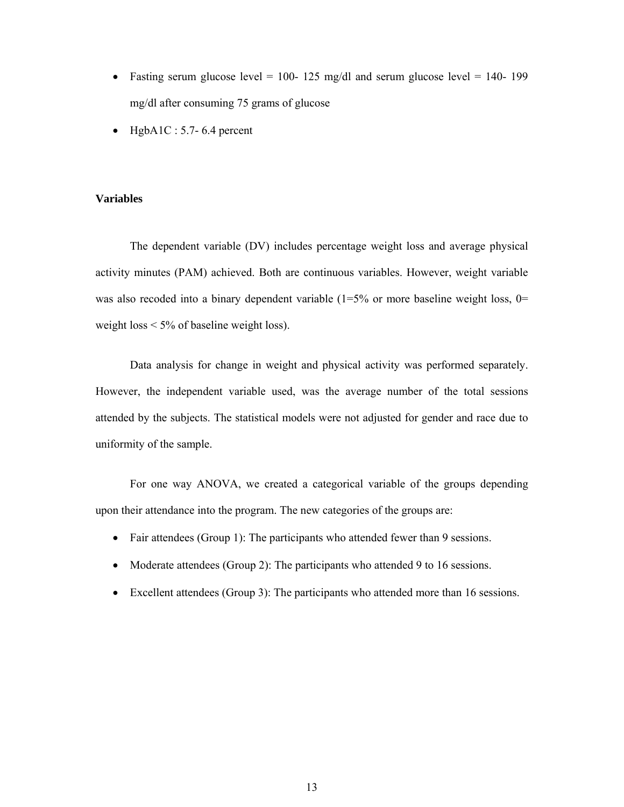- Fasting serum glucose level = 100- 125 mg/dl and serum glucose level = 140- 199 mg/dl after consuming 75 grams of glucose
- $\bullet$  HgbA1C : 5.7- 6.4 percent

#### **Variables**

The dependent variable (DV) includes percentage weight loss and average physical activity minutes (PAM) achieved. Both are continuous variables. However, weight variable was also recoded into a binary dependent variable  $(1=5\%$  or more baseline weight loss, 0= weight loss  $\leq 5\%$  of baseline weight loss).

Data analysis for change in weight and physical activity was performed separately. However, the independent variable used, was the average number of the total sessions attended by the subjects. The statistical models were not adjusted for gender and race due to uniformity of the sample.

For one way ANOVA, we created a categorical variable of the groups depending upon their attendance into the program. The new categories of the groups are:

- Fair attendees (Group 1): The participants who attended fewer than 9 sessions.
- Moderate attendees (Group 2): The participants who attended 9 to 16 sessions.
- Excellent attendees (Group 3): The participants who attended more than 16 sessions.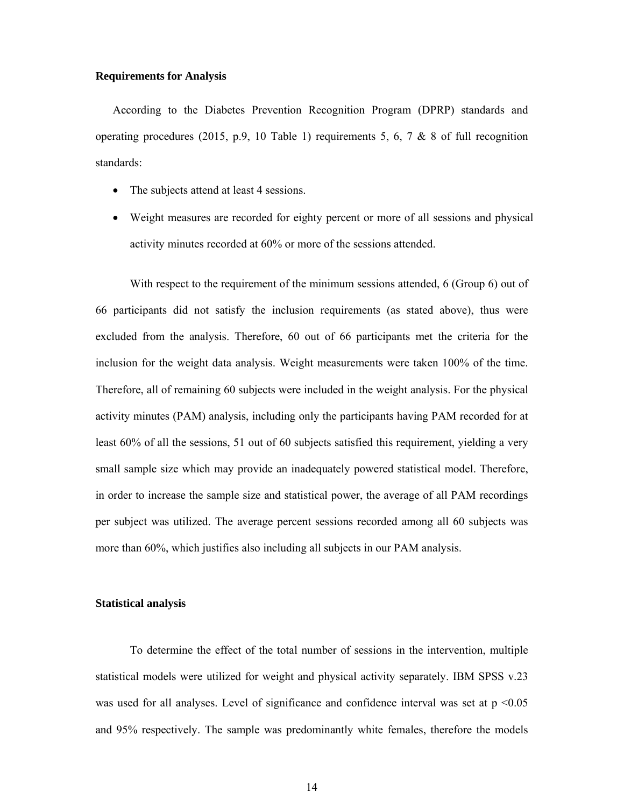#### **Requirements for Analysis**

According to the Diabetes Prevention Recognition Program (DPRP) standards and operating procedures (2015, p.9, 10 Table 1) requirements 5, 6, 7 & 8 of full recognition standards:

- The subjects attend at least 4 sessions.
- Weight measures are recorded for eighty percent or more of all sessions and physical activity minutes recorded at 60% or more of the sessions attended.

With respect to the requirement of the minimum sessions attended, 6 (Group 6) out of 66 participants did not satisfy the inclusion requirements (as stated above), thus were excluded from the analysis. Therefore, 60 out of 66 participants met the criteria for the inclusion for the weight data analysis. Weight measurements were taken 100% of the time. Therefore, all of remaining 60 subjects were included in the weight analysis. For the physical activity minutes (PAM) analysis, including only the participants having PAM recorded for at least 60% of all the sessions, 51 out of 60 subjects satisfied this requirement, yielding a very small sample size which may provide an inadequately powered statistical model. Therefore, in order to increase the sample size and statistical power, the average of all PAM recordings per subject was utilized. The average percent sessions recorded among all 60 subjects was more than 60%, which justifies also including all subjects in our PAM analysis.

#### **Statistical analysis**

To determine the effect of the total number of sessions in the intervention, multiple statistical models were utilized for weight and physical activity separately. IBM SPSS v.23 was used for all analyses. Level of significance and confidence interval was set at  $p \le 0.05$ and 95% respectively. The sample was predominantly white females, therefore the models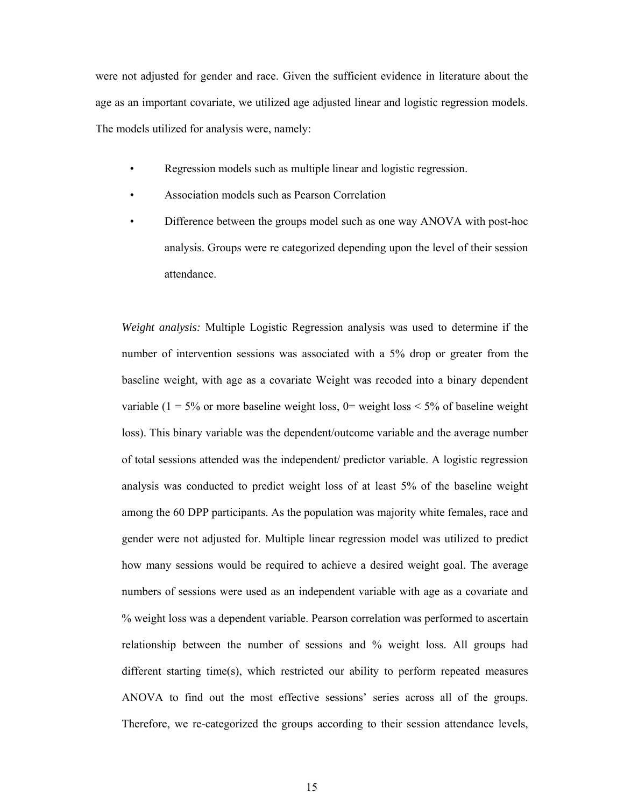were not adjusted for gender and race. Given the sufficient evidence in literature about the age as an important covariate, we utilized age adjusted linear and logistic regression models. The models utilized for analysis were, namely:

- Regression models such as multiple linear and logistic regression.
- Association models such as Pearson Correlation
- Difference between the groups model such as one way ANOVA with post-hoc analysis. Groups were re categorized depending upon the level of their session attendance.

*Weight analysis:* Multiple Logistic Regression analysis was used to determine if the number of intervention sessions was associated with a 5% drop or greater from the baseline weight, with age as a covariate Weight was recoded into a binary dependent variable ( $1 = 5\%$  or more baseline weight loss,  $0 =$  weight loss  $\lt 5\%$  of baseline weight loss). This binary variable was the dependent/outcome variable and the average number of total sessions attended was the independent/ predictor variable. A logistic regression analysis was conducted to predict weight loss of at least 5% of the baseline weight among the 60 DPP participants. As the population was majority white females, race and gender were not adjusted for. Multiple linear regression model was utilized to predict how many sessions would be required to achieve a desired weight goal. The average numbers of sessions were used as an independent variable with age as a covariate and % weight loss was a dependent variable. Pearson correlation was performed to ascertain relationship between the number of sessions and % weight loss. All groups had different starting time(s), which restricted our ability to perform repeated measures ANOVA to find out the most effective sessions' series across all of the groups. Therefore, we re-categorized the groups according to their session attendance levels,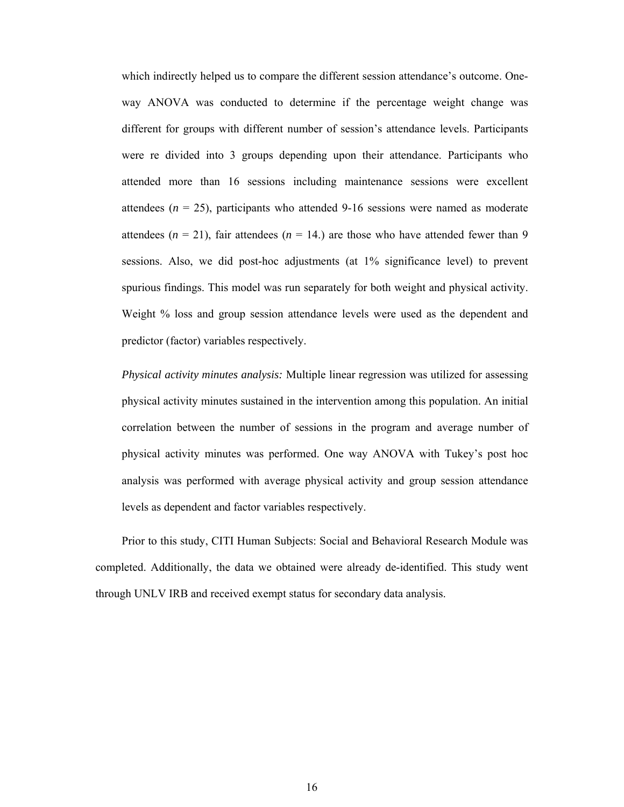which indirectly helped us to compare the different session attendance's outcome. Oneway ANOVA was conducted to determine if the percentage weight change was different for groups with different number of session's attendance levels. Participants were re divided into 3 groups depending upon their attendance. Participants who attended more than 16 sessions including maintenance sessions were excellent attendees  $(n = 25)$ , participants who attended 9-16 sessions were named as moderate attendees ( $n = 21$ ), fair attendees ( $n = 14$ .) are those who have attended fewer than 9 sessions. Also, we did post-hoc adjustments (at 1% significance level) to prevent spurious findings. This model was run separately for both weight and physical activity. Weight % loss and group session attendance levels were used as the dependent and predictor (factor) variables respectively.

*Physical activity minutes analysis:* Multiple linear regression was utilized for assessing physical activity minutes sustained in the intervention among this population. An initial correlation between the number of sessions in the program and average number of physical activity minutes was performed. One way ANOVA with Tukey's post hoc analysis was performed with average physical activity and group session attendance levels as dependent and factor variables respectively.

Prior to this study, CITI Human Subjects: Social and Behavioral Research Module was completed. Additionally, the data we obtained were already de-identified. This study went through UNLV IRB and received exempt status for secondary data analysis.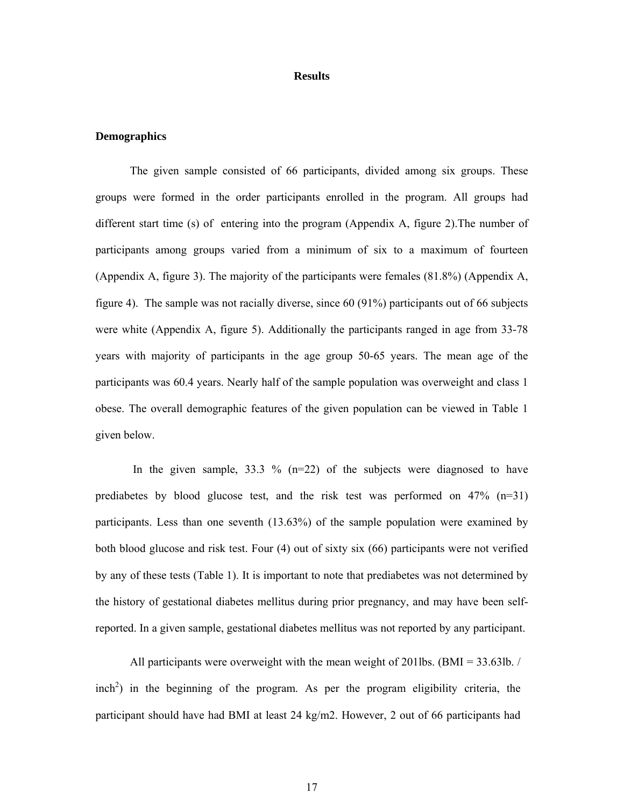#### **Results**

#### **Demographics**

The given sample consisted of 66 participants, divided among six groups. These groups were formed in the order participants enrolled in the program. All groups had different start time (s) of entering into the program (Appendix A, figure 2).The number of participants among groups varied from a minimum of six to a maximum of fourteen (Appendix A, figure 3). The majority of the participants were females (81.8%) (Appendix A, figure 4). The sample was not racially diverse, since 60 (91%) participants out of 66 subjects were white (Appendix A, figure 5). Additionally the participants ranged in age from 33-78 years with majority of participants in the age group 50-65 years. The mean age of the participants was 60.4 years. Nearly half of the sample population was overweight and class 1 obese. The overall demographic features of the given population can be viewed in Table 1 given below.

In the given sample,  $33.3 \%$  (n=22) of the subjects were diagnosed to have prediabetes by blood glucose test, and the risk test was performed on  $47\%$  (n=31) participants. Less than one seventh (13.63%) of the sample population were examined by both blood glucose and risk test. Four (4) out of sixty six (66) participants were not verified by any of these tests (Table 1). It is important to note that prediabetes was not determined by the history of gestational diabetes mellitus during prior pregnancy, and may have been selfreported. In a given sample, gestational diabetes mellitus was not reported by any participant.

All participants were overweight with the mean weight of 201lbs. (BMI = 33.63lb. /  $inch<sup>2</sup>$ ) in the beginning of the program. As per the program eligibility criteria, the participant should have had BMI at least 24 kg/m2. However, 2 out of 66 participants had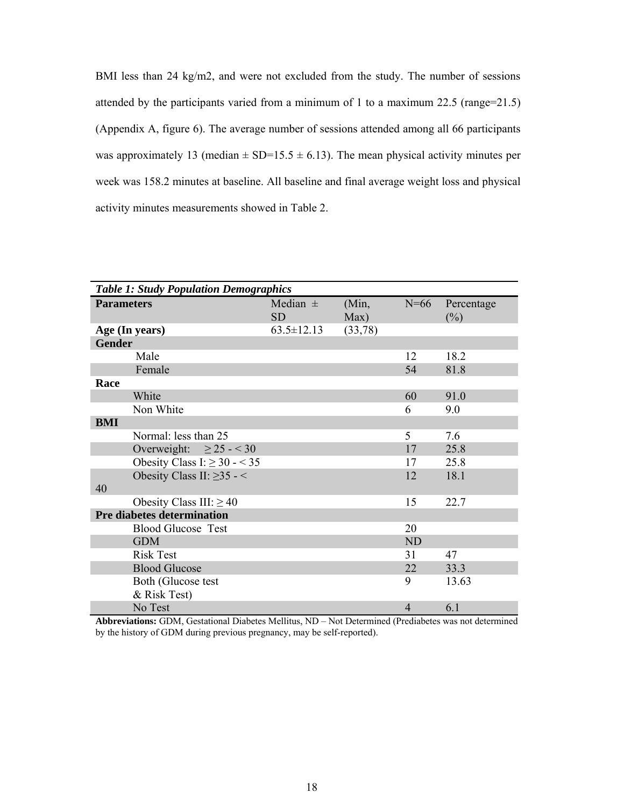BMI less than 24 kg/m2, and were not excluded from the study. The number of sessions attended by the participants varied from a minimum of 1 to a maximum 22.5 (range=21.5) (Appendix A, figure 6). The average number of sessions attended among all 66 participants was approximately 13 (median  $\pm$  SD=15.5  $\pm$  6.13). The mean physical activity minutes per week was 158.2 minutes at baseline. All baseline and final average weight loss and physical activity minutes measurements showed in Table 2.

|                                    | <b>Table 1: Study Population Demographics</b> |               |           |                      |
|------------------------------------|-----------------------------------------------|---------------|-----------|----------------------|
| <b>Parameters</b>                  | Median $\pm$<br><b>SD</b>                     | (Min,<br>Max) | $N=66$    | Percentage<br>$(\%)$ |
| Age (In years)                     | $63.5 \pm 12.13$                              | (33,78)       |           |                      |
| <b>Gender</b>                      |                                               |               |           |                      |
| Male                               |                                               |               | 12        | 18.2                 |
| Female                             |                                               |               | 54        | 81.8                 |
| Race                               |                                               |               |           |                      |
| White                              |                                               |               | 60        | 91.0                 |
| Non White                          |                                               |               | 6         | 9.0                  |
| <b>BMI</b>                         |                                               |               |           |                      |
| Normal: less than 25               |                                               |               | 5         | 7.6                  |
| Overweight: $\geq 25 - 30$         |                                               |               | 17        | 25.8                 |
| Obesity Class I: $\geq$ 30 - < 35  |                                               |               | 17        | 25.8                 |
| Obesity Class II: $\geq$ 35 - <    |                                               |               | 12        | 18.1                 |
| 40                                 |                                               |               |           |                      |
| Obesity Class III: $\geq$ 40       |                                               |               | 15        | 22.7                 |
| <b>Pre diabetes determination</b>  |                                               |               |           |                      |
| <b>Blood Glucose Test</b>          |                                               |               | 20        |                      |
| <b>GDM</b>                         |                                               |               | <b>ND</b> |                      |
| <b>Risk Test</b>                   |                                               |               | 31        | 47                   |
| <b>Blood Glucose</b>               |                                               |               | 22        | 33.3                 |
| Both (Glucose test<br>& Risk Test) |                                               |               | 9         | 13.63                |
| No Test                            |                                               |               | 4         | 6.1                  |

**Abbreviations:** GDM, Gestational Diabetes Mellitus, ND – Not Determined (Prediabetes was not determined by the history of GDM during previous pregnancy, may be self-reported).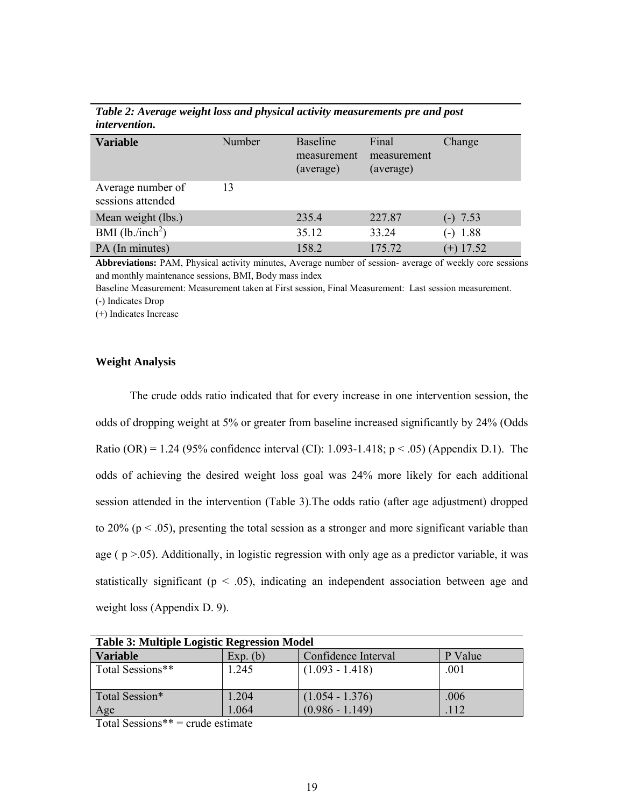| <i>uwu r</i> uw <i>u</i>               |        |                                             |                                   |             |
|----------------------------------------|--------|---------------------------------------------|-----------------------------------|-------------|
| <b>Variable</b>                        | Number | <b>Baseline</b><br>measurement<br>(average) | Final<br>measurement<br>(average) | Change      |
| Average number of<br>sessions attended | 13     |                                             |                                   |             |
| Mean weight (lbs.)                     |        | 235.4                                       | 227.87                            | $(-) 7.53$  |
| BMI $(lb./inch^2)$                     |        | 35.12                                       | 33.24                             | $(-) 1.88$  |
| PA (In minutes)                        |        | 158.2                                       | 175.72                            | $(+)$ 17.52 |

*Table 2: Average weight loss and physical activity measurements pre and post intervention.*

**Abbreviations:** PAM, Physical activity minutes, Average number of session- average of weekly core sessions and monthly maintenance sessions, BMI, Body mass index

Baseline Measurement: Measurement taken at First session, Final Measurement: Last session measurement. (-) Indicates Drop

(+) Indicates Increase

#### **Weight Analysis**

The crude odds ratio indicated that for every increase in one intervention session, the odds of dropping weight at 5% or greater from baseline increased significantly by 24% (Odds Ratio (OR) = 1.24 (95% confidence interval (CI): 1.093-1.418;  $p < .05$ ) (Appendix D.1). The odds of achieving the desired weight loss goal was 24% more likely for each additional session attended in the intervention (Table 3).The odds ratio (after age adjustment) dropped to 20% ( $p < .05$ ), presenting the total session as a stronger and more significant variable than age ( $p > 0.05$ ). Additionally, in logistic regression with only age as a predictor variable, it was statistically significant ( $p < .05$ ), indicating an independent association between age and weight loss (Appendix D. 9).

| <b>Table 3: Multiple Logistic Regression Model</b> |          |                     |         |
|----------------------------------------------------|----------|---------------------|---------|
| <b>Variable</b>                                    | Exp. (b) | Confidence Interval | P Value |
| Total Sessions**                                   | 1.245    | $(1.093 - 1.418)$   | .001    |
| Total Session*                                     | 1.204    | $(1.054 - 1.376)$   | .006    |
| Age                                                | 1.064    | $(0.986 - 1.149)$   | .112    |

Total Sessions\*\* = crude estimate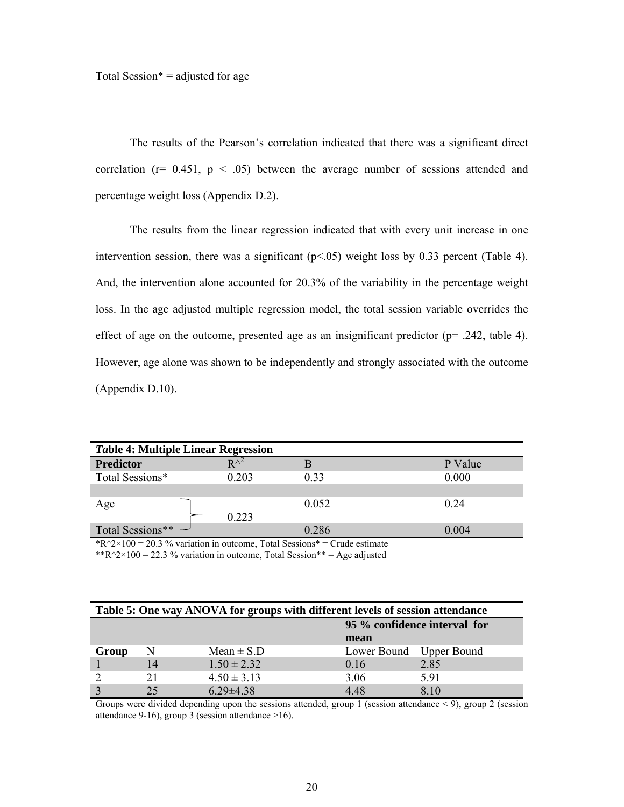The results of the Pearson's correlation indicated that there was a significant direct correlation ( $r= 0.451$ ,  $p < .05$ ) between the average number of sessions attended and percentage weight loss (Appendix D.2).

The results from the linear regression indicated that with every unit increase in one intervention session, there was a significant  $(p<0.05)$  weight loss by 0.33 percent (Table 4). And, the intervention alone accounted for 20.3% of the variability in the percentage weight loss. In the age adjusted multiple regression model, the total session variable overrides the effect of age on the outcome, presented age as an insignificant predictor ( $p=$  .242, table 4). However, age alone was shown to be independently and strongly associated with the outcome (Appendix D.10).

| <b>Table 4: Multiple Linear Regression</b>                                                                                                                                                                                                                                                                                         |                       |                                                     |         |
|------------------------------------------------------------------------------------------------------------------------------------------------------------------------------------------------------------------------------------------------------------------------------------------------------------------------------------|-----------------------|-----------------------------------------------------|---------|
| <b>Predictor</b>                                                                                                                                                                                                                                                                                                                   | $\mathbf{D} \wedge^2$ |                                                     | P Value |
| Total Sessions*                                                                                                                                                                                                                                                                                                                    | 0.203                 | 0.33                                                | 0.000   |
|                                                                                                                                                                                                                                                                                                                                    |                       |                                                     |         |
| Age                                                                                                                                                                                                                                                                                                                                |                       | 0.052                                               | 0.24    |
|                                                                                                                                                                                                                                                                                                                                    | 0.223                 |                                                     |         |
| Total Sessions** -                                                                                                                                                                                                                                                                                                                 |                       | 0.286                                               | 0.004   |
| $\mathbf{r}$ $\mathbf{r}$ $\mathbf{r}$ $\mathbf{r}$ $\mathbf{r}$ $\mathbf{r}$ $\mathbf{r}$ $\mathbf{r}$ $\mathbf{r}$ $\mathbf{r}$ $\mathbf{r}$ $\mathbf{r}$ $\mathbf{r}$ $\mathbf{r}$ $\mathbf{r}$ $\mathbf{r}$ $\mathbf{r}$ $\mathbf{r}$ $\mathbf{r}$ $\mathbf{r}$ $\mathbf{r}$ $\mathbf{r}$ $\mathbf{r}$ $\mathbf{r}$ $\mathbf{$ |                       | $\sim$ . The state of the state of the state $\sim$ |         |

\*R^2×100 = 20.3 % variation in outcome, Total Sessions\* = Crude estimate \*\* $R^2 \times 100 = 22.3$  % variation in outcome, Total Session\*\* = Age adjusted

| Table 5: One way ANOVA for groups with different levels of session attendance |    |                 |                         |                              |
|-------------------------------------------------------------------------------|----|-----------------|-------------------------|------------------------------|
|                                                                               |    |                 |                         | 95 % confidence interval for |
|                                                                               |    |                 | mean                    |                              |
| Group                                                                         | N  | Mean $\pm$ S.D  | Lower Bound Upper Bound |                              |
|                                                                               | 14 | $1.50 \pm 2.32$ | 0.16                    | 2.85                         |
|                                                                               | 21 | $4.50 \pm 3.13$ | 3.06                    | 591                          |
|                                                                               | 25 | $6.29 \pm 4.38$ | 4 48                    | 810                          |

Groups were divided depending upon the sessions attended, group 1 (session attendance < 9), group 2 (session attendance 9-16), group 3 (session attendance  $>16$ ).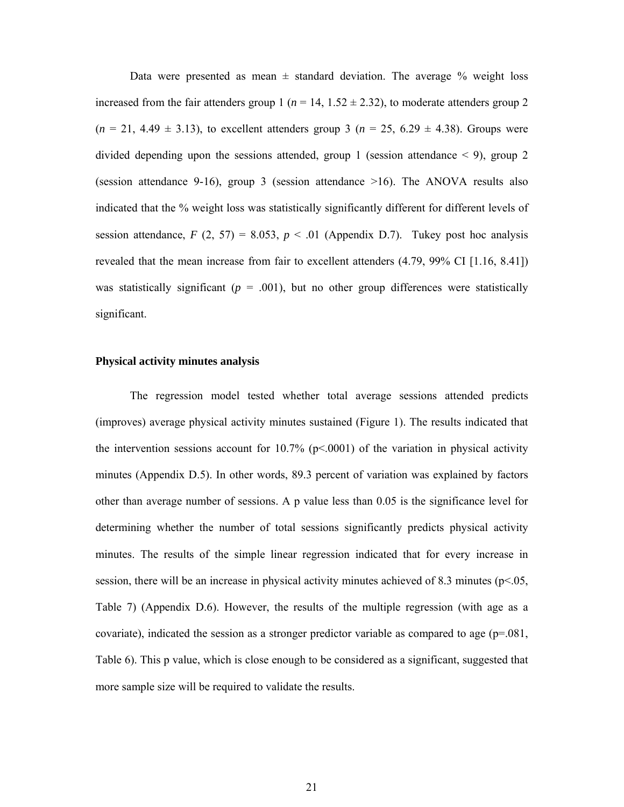Data were presented as mean  $\pm$  standard deviation. The average  $\%$  weight loss increased from the fair attenders group  $1$  ( $n = 14, 1.52 \pm 2.32$ ), to moderate attenders group 2  $(n = 21, 4.49 \pm 3.13)$ , to excellent attenders group 3  $(n = 25, 6.29 \pm 4.38)$ . Groups were divided depending upon the sessions attended, group 1 (session attendance  $\leq$  9), group 2 (session attendance 9-16), group 3 (session attendance >16). The ANOVA results also indicated that the % weight loss was statistically significantly different for different levels of session attendance,  $F(2, 57) = 8.053$ ,  $p < .01$  (Appendix D.7). Tukey post hoc analysis revealed that the mean increase from fair to excellent attenders (4.79, 99% CI [1.16, 8.41]) was statistically significant ( $p = .001$ ), but no other group differences were statistically significant.

#### **Physical activity minutes analysis**

The regression model tested whether total average sessions attended predicts (improves) average physical activity minutes sustained (Figure 1). The results indicated that the intervention sessions account for 10.7% ( $p<0.001$ ) of the variation in physical activity minutes (Appendix D.5). In other words, 89.3 percent of variation was explained by factors other than average number of sessions. A p value less than 0.05 is the significance level for determining whether the number of total sessions significantly predicts physical activity minutes. The results of the simple linear regression indicated that for every increase in session, there will be an increase in physical activity minutes achieved of 8.3 minutes ( $p$ <.05, Table 7) (Appendix D.6). However, the results of the multiple regression (with age as a covariate), indicated the session as a stronger predictor variable as compared to age (p=.081, Table 6). This p value, which is close enough to be considered as a significant, suggested that more sample size will be required to validate the results.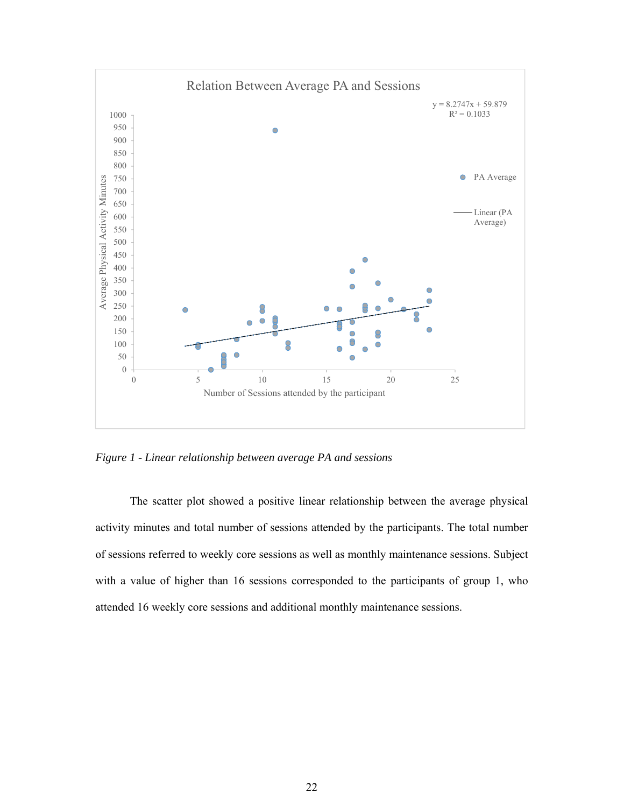

*Figure 1 - Linear relationship between average PA and sessions* 

The scatter plot showed a positive linear relationship between the average physical activity minutes and total number of sessions attended by the participants. The total number of sessions referred to weekly core sessions as well as monthly maintenance sessions. Subject with a value of higher than 16 sessions corresponded to the participants of group 1, who attended 16 weekly core sessions and additional monthly maintenance sessions.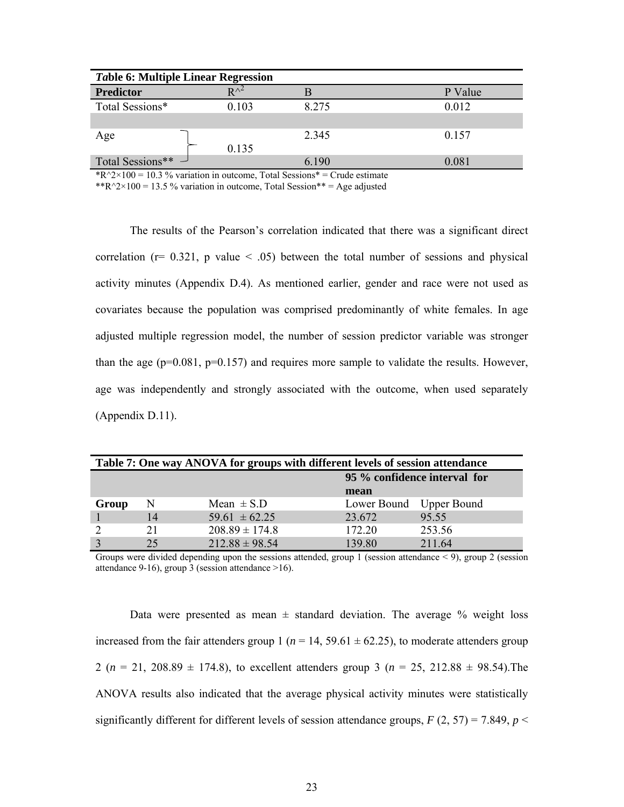| <b>Table 6: Multiple Linear Regression</b> |               |       |         |
|--------------------------------------------|---------------|-------|---------|
| <b>Predictor</b>                           | $R^{\wedge2}$ |       | P Value |
| Total Sessions*                            | 0.103         | 8.275 | 0.012   |
|                                            |               |       |         |
| Age                                        |               | 2.345 | 0.157   |
|                                            | 0.135         |       |         |
| Total Sessions** $\rightarrow$             |               | 6 190 | 0.081   |

 $R^2 \times 100 = 10.3$  % variation in outcome, Total Sessions\* = Crude estimate

\*\*R^2×100 = 13.5 % variation in outcome, Total Session\*\* = Age adjusted

The results of the Pearson's correlation indicated that there was a significant direct correlation ( $r= 0.321$ , p value  $\leq .05$ ) between the total number of sessions and physical activity minutes (Appendix D.4). As mentioned earlier, gender and race were not used as covariates because the population was comprised predominantly of white females. In age adjusted multiple regression model, the number of session predictor variable was stronger than the age  $(p=0.081, p=0.157)$  and requires more sample to validate the results. However, age was independently and strongly associated with the outcome, when used separately (Appendix D.11).

| Table 7: One way ANOVA for groups with different levels of session attendance |    |                    |                         |        |
|-------------------------------------------------------------------------------|----|--------------------|-------------------------|--------|
| 95 % confidence interval for                                                  |    |                    |                         |        |
|                                                                               |    |                    | mean                    |        |
| Group                                                                         | N  | Mean $\pm$ S.D     | Lower Bound Upper Bound |        |
|                                                                               | 14 | $59.61 \pm 62.25$  | 23.672                  | 95.55  |
|                                                                               | 21 | $208.89 \pm 174.8$ | 172.20                  | 253.56 |
|                                                                               | 25 | $212.88 \pm 98.54$ | 139.80                  | 211.64 |

Groups were divided depending upon the sessions attended, group 1 (session attendance  $\leq$  9), group 2 (session attendance 9-16), group 3 (session attendance  $>16$ ).

Data were presented as mean  $\pm$  standard deviation. The average  $\%$  weight loss increased from the fair attenders group 1 ( $n = 14$ , 59.61  $\pm$  62.25), to moderate attenders group 2 ( $n = 21, 208.89 \pm 174.8$ ), to excellent attenders group 3 ( $n = 25, 212.88 \pm 98.54$ ). The ANOVA results also indicated that the average physical activity minutes were statistically significantly different for different levels of session attendance groups,  $F(2, 57) = 7.849$ ,  $p <$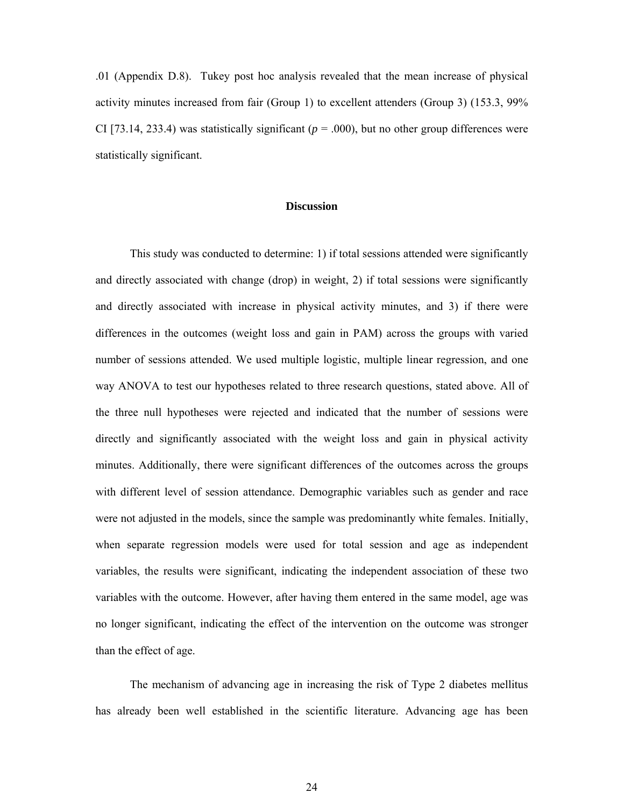.01 (Appendix D.8). Tukey post hoc analysis revealed that the mean increase of physical activity minutes increased from fair (Group 1) to excellent attenders (Group 3) (153.3, 99% CI [73.14, 233.4) was statistically significant ( $p = .000$ ), but no other group differences were statistically significant.

#### **Discussion**

This study was conducted to determine: 1) if total sessions attended were significantly and directly associated with change (drop) in weight, 2) if total sessions were significantly and directly associated with increase in physical activity minutes, and 3) if there were differences in the outcomes (weight loss and gain in PAM) across the groups with varied number of sessions attended. We used multiple logistic, multiple linear regression, and one way ANOVA to test our hypotheses related to three research questions, stated above. All of the three null hypotheses were rejected and indicated that the number of sessions were directly and significantly associated with the weight loss and gain in physical activity minutes. Additionally, there were significant differences of the outcomes across the groups with different level of session attendance. Demographic variables such as gender and race were not adjusted in the models, since the sample was predominantly white females. Initially, when separate regression models were used for total session and age as independent variables, the results were significant, indicating the independent association of these two variables with the outcome. However, after having them entered in the same model, age was no longer significant, indicating the effect of the intervention on the outcome was stronger than the effect of age.

The mechanism of advancing age in increasing the risk of Type 2 diabetes mellitus has already been well established in the scientific literature. Advancing age has been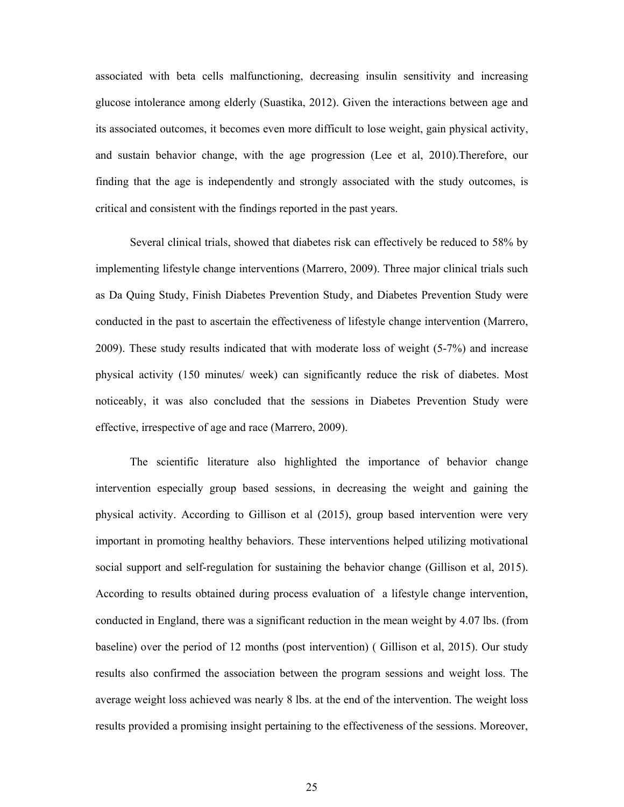associated with beta cells malfunctioning, decreasing insulin sensitivity and increasing glucose intolerance among elderly (Suastika, 2012). Given the interactions between age and its associated outcomes, it becomes even more difficult to lose weight, gain physical activity, and sustain behavior change, with the age progression (Lee et al, 2010).Therefore, our finding that the age is independently and strongly associated with the study outcomes, is critical and consistent with the findings reported in the past years.

Several clinical trials, showed that diabetes risk can effectively be reduced to 58% by implementing lifestyle change interventions (Marrero, 2009). Three major clinical trials such as Da Quing Study, Finish Diabetes Prevention Study, and Diabetes Prevention Study were conducted in the past to ascertain the effectiveness of lifestyle change intervention (Marrero, 2009). These study results indicated that with moderate loss of weight (5-7%) and increase physical activity (150 minutes/ week) can significantly reduce the risk of diabetes. Most noticeably, it was also concluded that the sessions in Diabetes Prevention Study were effective, irrespective of age and race (Marrero, 2009).

The scientific literature also highlighted the importance of behavior change intervention especially group based sessions, in decreasing the weight and gaining the physical activity. According to Gillison et al (2015), group based intervention were very important in promoting healthy behaviors. These interventions helped utilizing motivational social support and self-regulation for sustaining the behavior change (Gillison et al, 2015). According to results obtained during process evaluation of a lifestyle change intervention, conducted in England, there was a significant reduction in the mean weight by 4.07 lbs. (from baseline) over the period of 12 months (post intervention) ( Gillison et al, 2015). Our study results also confirmed the association between the program sessions and weight loss. The average weight loss achieved was nearly 8 lbs. at the end of the intervention. The weight loss results provided a promising insight pertaining to the effectiveness of the sessions. Moreover,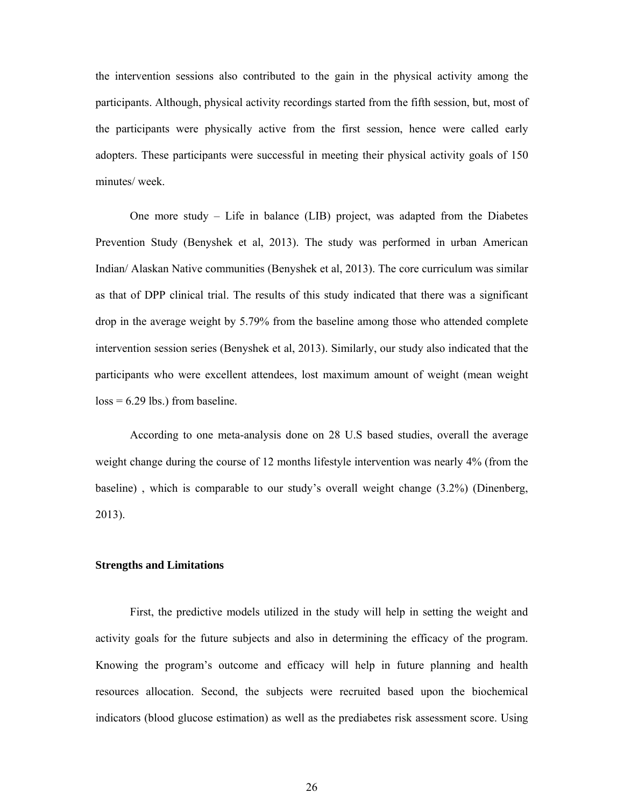the intervention sessions also contributed to the gain in the physical activity among the participants. Although, physical activity recordings started from the fifth session, but, most of the participants were physically active from the first session, hence were called early adopters. These participants were successful in meeting their physical activity goals of 150 minutes/ week.

One more study – Life in balance (LIB) project, was adapted from the Diabetes Prevention Study (Benyshek et al, 2013). The study was performed in urban American Indian/ Alaskan Native communities (Benyshek et al, 2013). The core curriculum was similar as that of DPP clinical trial. The results of this study indicated that there was a significant drop in the average weight by 5.79% from the baseline among those who attended complete intervention session series (Benyshek et al, 2013). Similarly, our study also indicated that the participants who were excellent attendees, lost maximum amount of weight (mean weight  $loss = 6.29$  lbs.) from baseline.

According to one meta-analysis done on 28 U.S based studies, overall the average weight change during the course of 12 months lifestyle intervention was nearly 4% (from the baseline) , which is comparable to our study's overall weight change (3.2%) (Dinenberg, 2013).

#### **Strengths and Limitations**

First, the predictive models utilized in the study will help in setting the weight and activity goals for the future subjects and also in determining the efficacy of the program. Knowing the program's outcome and efficacy will help in future planning and health resources allocation. Second, the subjects were recruited based upon the biochemical indicators (blood glucose estimation) as well as the prediabetes risk assessment score. Using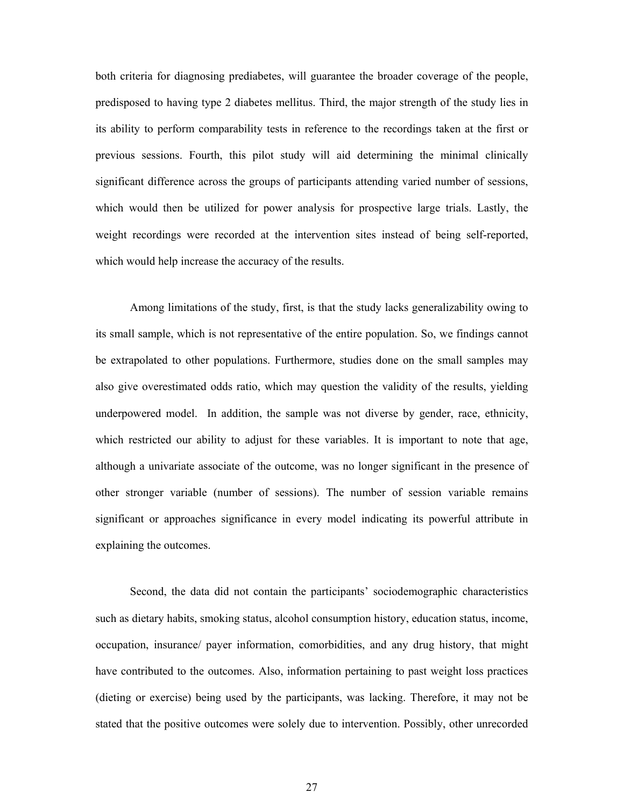both criteria for diagnosing prediabetes, will guarantee the broader coverage of the people, predisposed to having type 2 diabetes mellitus. Third, the major strength of the study lies in its ability to perform comparability tests in reference to the recordings taken at the first or previous sessions. Fourth, this pilot study will aid determining the minimal clinically significant difference across the groups of participants attending varied number of sessions, which would then be utilized for power analysis for prospective large trials. Lastly, the weight recordings were recorded at the intervention sites instead of being self-reported, which would help increase the accuracy of the results.

Among limitations of the study, first, is that the study lacks generalizability owing to its small sample, which is not representative of the entire population. So, we findings cannot be extrapolated to other populations. Furthermore, studies done on the small samples may also give overestimated odds ratio, which may question the validity of the results, yielding underpowered model. In addition, the sample was not diverse by gender, race, ethnicity, which restricted our ability to adjust for these variables. It is important to note that age, although a univariate associate of the outcome, was no longer significant in the presence of other stronger variable (number of sessions). The number of session variable remains significant or approaches significance in every model indicating its powerful attribute in explaining the outcomes.

Second, the data did not contain the participants' sociodemographic characteristics such as dietary habits, smoking status, alcohol consumption history, education status, income, occupation, insurance/ payer information, comorbidities, and any drug history, that might have contributed to the outcomes. Also, information pertaining to past weight loss practices (dieting or exercise) being used by the participants, was lacking. Therefore, it may not be stated that the positive outcomes were solely due to intervention. Possibly, other unrecorded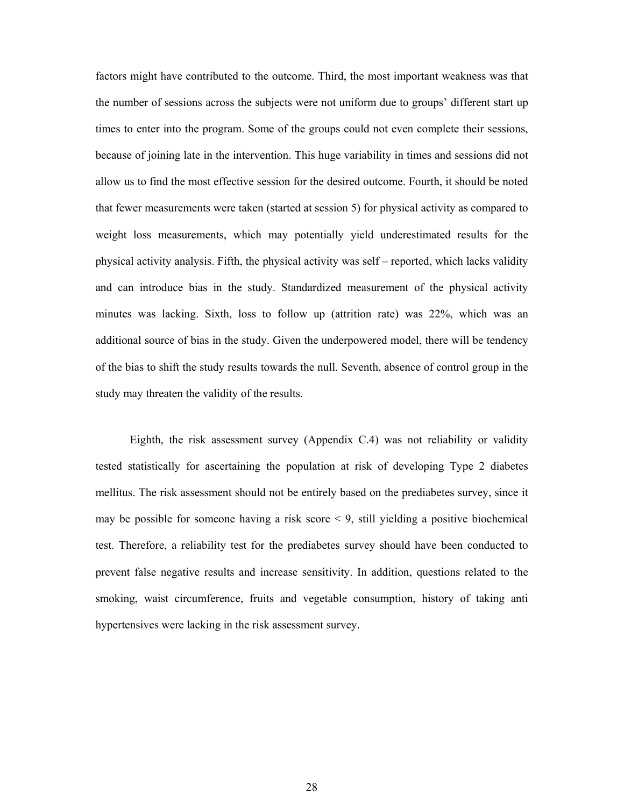factors might have contributed to the outcome. Third, the most important weakness was that the number of sessions across the subjects were not uniform due to groups' different start up times to enter into the program. Some of the groups could not even complete their sessions, because of joining late in the intervention. This huge variability in times and sessions did not allow us to find the most effective session for the desired outcome. Fourth, it should be noted that fewer measurements were taken (started at session 5) for physical activity as compared to weight loss measurements, which may potentially yield underestimated results for the physical activity analysis. Fifth, the physical activity was self – reported, which lacks validity and can introduce bias in the study. Standardized measurement of the physical activity minutes was lacking. Sixth, loss to follow up (attrition rate) was 22%, which was an additional source of bias in the study. Given the underpowered model, there will be tendency of the bias to shift the study results towards the null. Seventh, absence of control group in the study may threaten the validity of the results.

Eighth, the risk assessment survey (Appendix C.4) was not reliability or validity tested statistically for ascertaining the population at risk of developing Type 2 diabetes mellitus. The risk assessment should not be entirely based on the prediabetes survey, since it may be possible for someone having a risk score  $\leq 9$ , still yielding a positive biochemical test. Therefore, a reliability test for the prediabetes survey should have been conducted to prevent false negative results and increase sensitivity. In addition, questions related to the smoking, waist circumference, fruits and vegetable consumption, history of taking anti hypertensives were lacking in the risk assessment survey.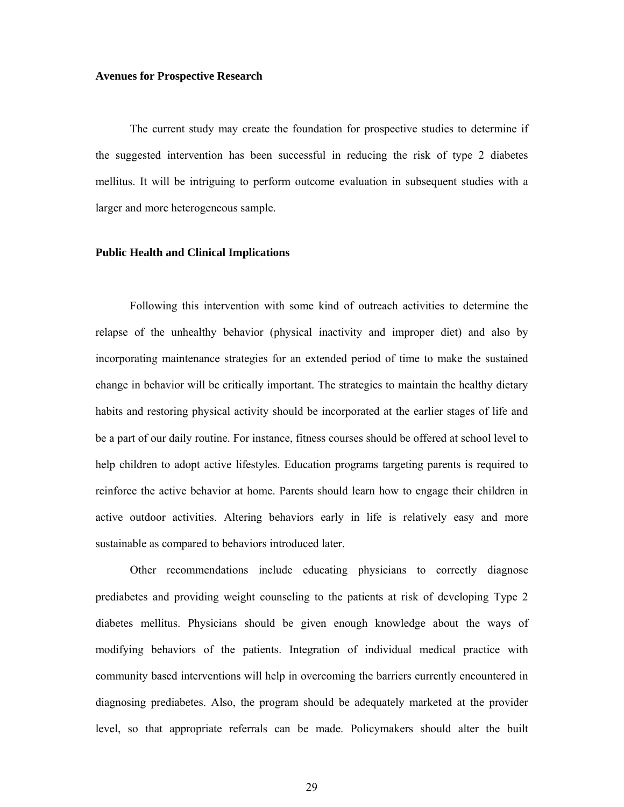#### **Avenues for Prospective Research**

The current study may create the foundation for prospective studies to determine if the suggested intervention has been successful in reducing the risk of type 2 diabetes mellitus. It will be intriguing to perform outcome evaluation in subsequent studies with a larger and more heterogeneous sample.

#### **Public Health and Clinical Implications**

Following this intervention with some kind of outreach activities to determine the relapse of the unhealthy behavior (physical inactivity and improper diet) and also by incorporating maintenance strategies for an extended period of time to make the sustained change in behavior will be critically important. The strategies to maintain the healthy dietary habits and restoring physical activity should be incorporated at the earlier stages of life and be a part of our daily routine. For instance, fitness courses should be offered at school level to help children to adopt active lifestyles. Education programs targeting parents is required to reinforce the active behavior at home. Parents should learn how to engage their children in active outdoor activities. Altering behaviors early in life is relatively easy and more sustainable as compared to behaviors introduced later.

Other recommendations include educating physicians to correctly diagnose prediabetes and providing weight counseling to the patients at risk of developing Type 2 diabetes mellitus. Physicians should be given enough knowledge about the ways of modifying behaviors of the patients. Integration of individual medical practice with community based interventions will help in overcoming the barriers currently encountered in diagnosing prediabetes. Also, the program should be adequately marketed at the provider level, so that appropriate referrals can be made. Policymakers should alter the built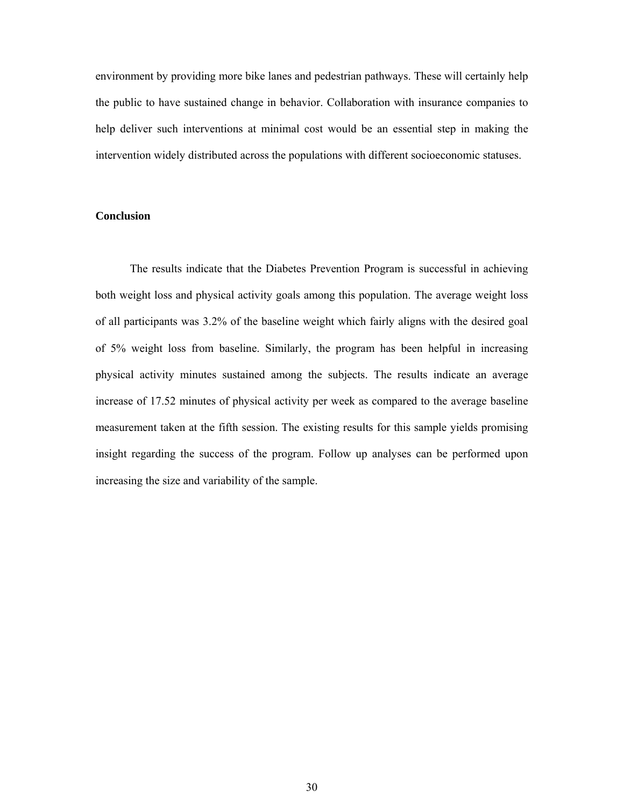environment by providing more bike lanes and pedestrian pathways. These will certainly help the public to have sustained change in behavior. Collaboration with insurance companies to help deliver such interventions at minimal cost would be an essential step in making the intervention widely distributed across the populations with different socioeconomic statuses.

#### **Conclusion**

The results indicate that the Diabetes Prevention Program is successful in achieving both weight loss and physical activity goals among this population. The average weight loss of all participants was 3.2% of the baseline weight which fairly aligns with the desired goal of 5% weight loss from baseline. Similarly, the program has been helpful in increasing physical activity minutes sustained among the subjects. The results indicate an average increase of 17.52 minutes of physical activity per week as compared to the average baseline measurement taken at the fifth session. The existing results for this sample yields promising insight regarding the success of the program. Follow up analyses can be performed upon increasing the size and variability of the sample.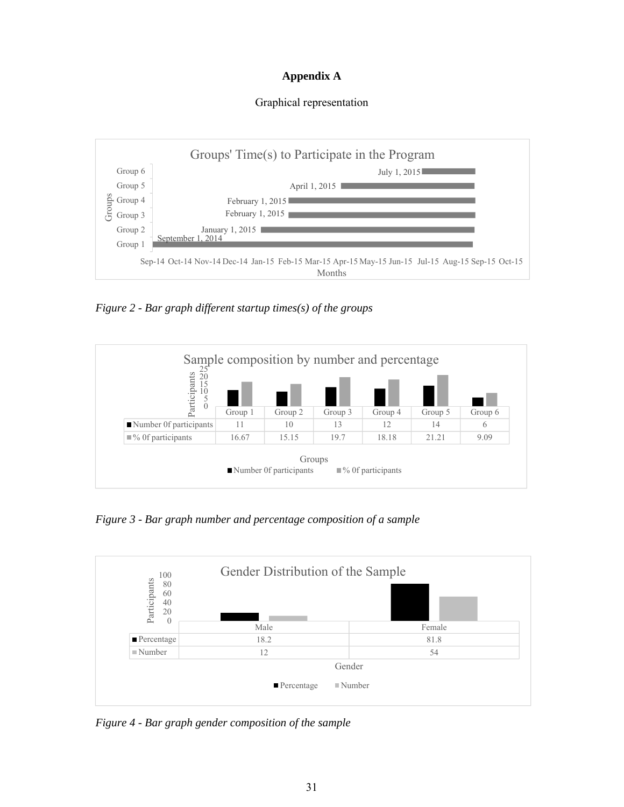## **Appendix A**

#### Graphical representation



*Figure 2 - Bar graph different startup times(s) of the groups* 



*Figure 3 - Bar graph number and percentage composition of a sample* 



*Figure 4 - Bar graph gender composition of the sample*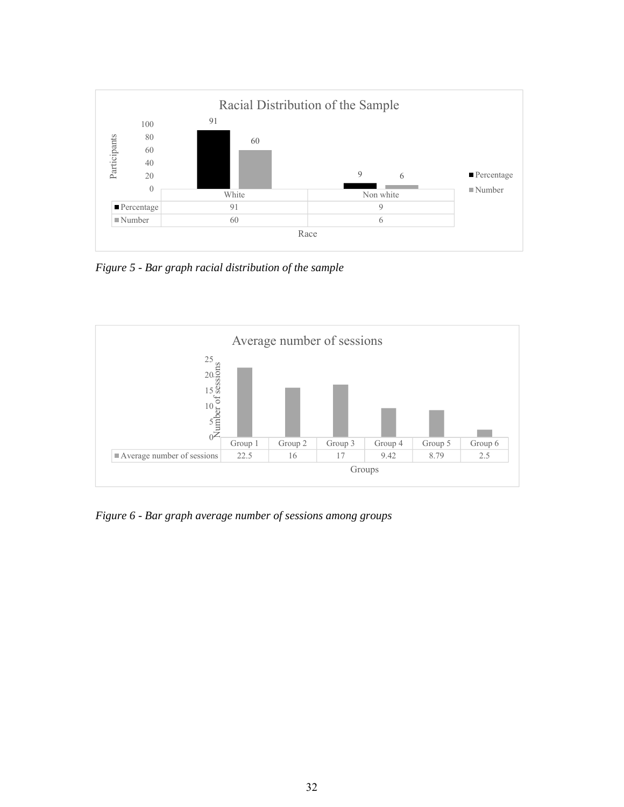

*Figure 5 - Bar graph racial distribution of the sample* 



*Figure 6 - Bar graph average number of sessions among groups*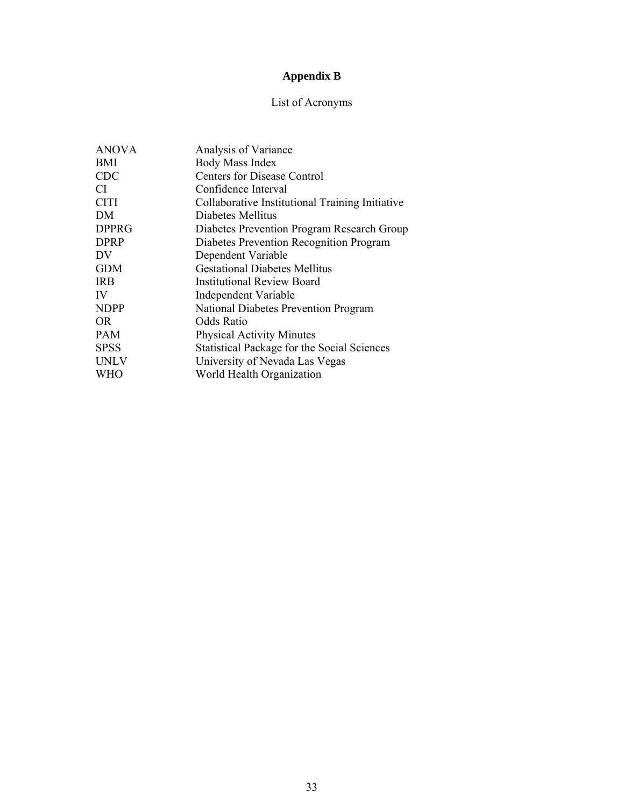## **Appendix B**

## List of Acronyms

| <b>ANOVA</b> | Analysis of Variance                               |
|--------------|----------------------------------------------------|
| BMI          | Body Mass Index                                    |
| <b>CDC</b>   | <b>Centers for Disease Control</b>                 |
| CI           | Confidence Interval                                |
| <b>CITI</b>  | Collaborative Institutional Training Initiative    |
| DM           | Diabetes Mellitus                                  |
| <b>DPPRG</b> | Diabetes Prevention Program Research Group         |
| <b>DPRP</b>  | Diabetes Prevention Recognition Program            |
| DV           | Dependent Variable                                 |
| <b>GDM</b>   | <b>Gestational Diabetes Mellitus</b>               |
| <b>IRB</b>   | <b>Institutional Review Board</b>                  |
| IV           | Independent Variable                               |
| <b>NDPP</b>  | National Diabetes Prevention Program               |
| OR.          | Odds Ratio                                         |
| <b>PAM</b>   | <b>Physical Activity Minutes</b>                   |
| <b>SPSS</b>  | <b>Statistical Package for the Social Sciences</b> |
| <b>UNLV</b>  | University of Nevada Las Vegas                     |
| <b>WHO</b>   | World Health Organization                          |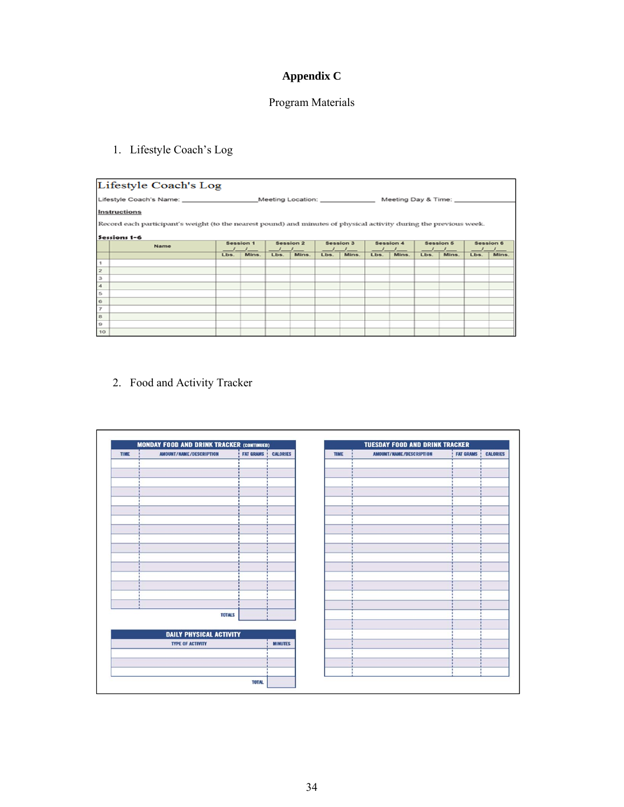## **Appendix C**

## Program Materials

## 1. Lifestyle Coach's Log

|                          | Lifestyle Coach's Log                                                                                              |      |                  |      |                                                    |      |                  |      |                  |      |                     |      |                  |
|--------------------------|--------------------------------------------------------------------------------------------------------------------|------|------------------|------|----------------------------------------------------|------|------------------|------|------------------|------|---------------------|------|------------------|
|                          | Lifestyle Coach's Name:                                                                                            |      |                  |      | Meeting Location: Network of the Meeting Location: |      |                  |      |                  |      | Meeting Day & Time: |      |                  |
|                          | <b>Instructions</b>                                                                                                |      |                  |      |                                                    |      |                  |      |                  |      |                     |      |                  |
|                          | Record each participant's weight (to the nearest pound) and minutes of physical activity during the previous week. |      |                  |      |                                                    |      |                  |      |                  |      |                     |      |                  |
|                          | Sessions 1-6                                                                                                       |      |                  |      |                                                    |      |                  |      |                  |      |                     |      |                  |
|                          | Name                                                                                                               |      | <b>Session 1</b> |      | <b>Session 2</b>                                   |      | <b>Session 3</b> |      | <b>Session 4</b> |      | <b>Session 5</b>    |      | <b>Session 6</b> |
|                          |                                                                                                                    | Lbs. | Mins.            | Lbs. | Mins.                                              | Lbs. | Mins.            | Lbs. | Mins.            | Lbs. | Mins.               | Lbs. | Mins.            |
| 1                        |                                                                                                                    |      |                  |      |                                                    |      |                  |      |                  |      |                     |      |                  |
| $\overline{\mathbf{z}}$  |                                                                                                                    |      |                  |      |                                                    |      |                  |      |                  |      |                     |      |                  |
| з                        |                                                                                                                    |      |                  |      |                                                    |      |                  |      |                  |      |                     |      |                  |
| 4                        |                                                                                                                    |      |                  |      |                                                    |      |                  |      |                  |      |                     |      |                  |
| 5                        |                                                                                                                    |      |                  |      |                                                    |      |                  |      |                  |      |                     |      |                  |
| $\mathfrak{S}$           |                                                                                                                    |      |                  |      |                                                    |      |                  |      |                  |      |                     |      |                  |
| $\overline{\mathcal{I}}$ |                                                                                                                    |      |                  |      |                                                    |      |                  |      |                  |      |                     |      |                  |
| $^{\rm 8}$               |                                                                                                                    |      |                  |      |                                                    |      |                  |      |                  |      |                     |      |                  |
| $\Omega$                 |                                                                                                                    |      |                  |      |                                                    |      |                  |      |                  |      |                     |      |                  |
| 10                       |                                                                                                                    |      |                  |      |                                                    |      |                  |      |                  |      |                     |      |                  |

2. Food and Activity Tracker

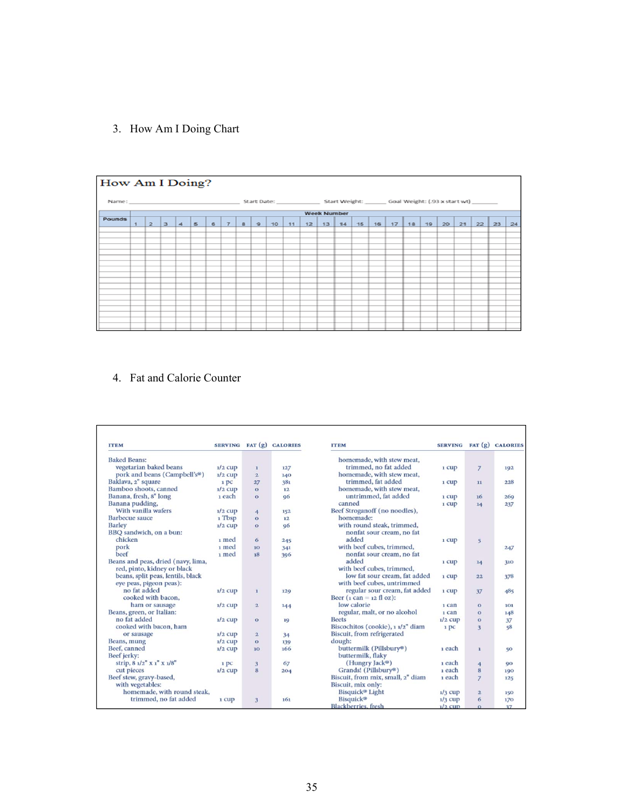3. How Am I Doing Chart

|        | How Am I Doing? |  |  |  |  |  |  |  |  |  |  |  |                    |  |  |  |  |                                                                |  |
|--------|-----------------|--|--|--|--|--|--|--|--|--|--|--|--------------------|--|--|--|--|----------------------------------------------------------------|--|
|        |                 |  |  |  |  |  |  |  |  |  |  |  |                    |  |  |  |  |                                                                |  |
|        |                 |  |  |  |  |  |  |  |  |  |  |  | <b>Week Number</b> |  |  |  |  |                                                                |  |
| Pounds |                 |  |  |  |  |  |  |  |  |  |  |  |                    |  |  |  |  | 1 2 3 4 5 6 7 8 9 10 11 12 13 14 15 16 17 18 19 20 21 22 23 24 |  |
|        |                 |  |  |  |  |  |  |  |  |  |  |  |                    |  |  |  |  |                                                                |  |
|        |                 |  |  |  |  |  |  |  |  |  |  |  |                    |  |  |  |  |                                                                |  |
|        |                 |  |  |  |  |  |  |  |  |  |  |  |                    |  |  |  |  |                                                                |  |
|        |                 |  |  |  |  |  |  |  |  |  |  |  |                    |  |  |  |  |                                                                |  |
|        |                 |  |  |  |  |  |  |  |  |  |  |  |                    |  |  |  |  |                                                                |  |
|        |                 |  |  |  |  |  |  |  |  |  |  |  |                    |  |  |  |  |                                                                |  |
|        |                 |  |  |  |  |  |  |  |  |  |  |  |                    |  |  |  |  |                                                                |  |
|        |                 |  |  |  |  |  |  |  |  |  |  |  |                    |  |  |  |  |                                                                |  |
|        |                 |  |  |  |  |  |  |  |  |  |  |  |                    |  |  |  |  |                                                                |  |
|        |                 |  |  |  |  |  |  |  |  |  |  |  |                    |  |  |  |  |                                                                |  |
|        |                 |  |  |  |  |  |  |  |  |  |  |  |                    |  |  |  |  |                                                                |  |
|        |                 |  |  |  |  |  |  |  |  |  |  |  |                    |  |  |  |  |                                                                |  |
|        |                 |  |  |  |  |  |  |  |  |  |  |  |                    |  |  |  |  |                                                                |  |
|        |                 |  |  |  |  |  |  |  |  |  |  |  |                    |  |  |  |  |                                                                |  |
|        |                 |  |  |  |  |  |  |  |  |  |  |  |                    |  |  |  |  |                                                                |  |

## 4. Fat and Calorie Counter

| <b>ITEM</b>                        | <b>SERVING</b> |                         | FAT (g) CALORIES | <b>ITEM</b>                       |           |                | SERVING FAT (g) CALORIES |
|------------------------------------|----------------|-------------------------|------------------|-----------------------------------|-----------|----------------|--------------------------|
| <b>Baked Beans:</b>                |                |                         |                  | homemade, with stew meat,         |           |                |                          |
| vegetarian baked beans             | $1/2$ cup      | $\mathbf{I}$            | 127              | trimmed, no fat added             | 1 cup     | $\overline{7}$ | 192                      |
| pork and beans (Campbell's®)       | $1/2$ cup      | $\overline{2}$          | 140              | homemade, with stew meat.         |           |                |                          |
| Baklava, 2" square                 | 1 pc           | 27                      | 381              | trimmed, fat added                | 1 cup     | 11             | 228                      |
| Bamboo shoots, canned              | $1/2$ cup      | $\Omega$                | 12               | homemade, with stew meat,         |           |                |                          |
| Banana, fresh, 8" long             | 1 each         | $\Omega$                | 96               | untrimmed, fat added              | 1 cup     | 16             | 269                      |
| Banana pudding,                    |                |                         |                  | canned                            | 1 cup     | 14             | 237                      |
| With vanilla wafers                | $1/2$ cup      | 4                       | 152              | Beef Stroganoff (no noodles),     |           |                |                          |
| <b>Barbecue</b> sauce              | 1 Tbsp         | $\Omega$                | 12               | homemade:                         |           |                |                          |
| <b>Barley</b>                      | $1/2$ cup      | $\Omega$                | 96               | with round steak, trimmed,        |           |                |                          |
| BBQ sandwich, on a bun:            |                |                         |                  | nonfat sour cream, no fat         |           |                |                          |
| chicken                            | 1 med          | 6                       | 245              | added                             | 1 cup     | 5              |                          |
| pork                               | 1 med          | 10                      | 341              | with beef cubes, trimmed,         |           |                | 247                      |
| beef                               | 1 med          | 18                      | 396              | nonfat sour cream, no fat         |           |                |                          |
| Beans and peas, dried (navy, lima, |                |                         |                  | added                             | 1 CUD     | 14             | 310                      |
| red, pinto, kidney or black        |                |                         |                  | with beef cubes, trimmed,         |           |                |                          |
| beans, split peas, lentils, black  |                |                         |                  | low fat sour cream, fat added     | 1 cup     | 22             | 378                      |
| eye peas, pigeon peas):            |                |                         |                  | with beef cubes, untrimmed        |           |                |                          |
| no fat added                       | $1/2$ cup      | $\mathbf{1}$            | 129              | regular sour cream, fat added     | 1 cup     | 37             | 485                      |
| cooked with bacon,                 |                |                         |                  | Beer (1 can = 12 fl oz):          |           |                |                          |
| ham or sausage                     | $1/2$ cup      | $\overline{2}$          | 144              | low calorie                       | 1 can     | $\Omega$       | 101                      |
| Beans, green, or Italian:          |                |                         |                  | regular, malt, or no alcohol      | 1 can     | $\Omega$       | 148                      |
| no fat added                       | $1/2$ cup      | $\Omega$                | 19               | <b>Beets</b>                      | $1/2$ CUD | $\Omega$       | 37                       |
| cooked with bacon, ham             |                |                         |                  | Biscochitos (cookie), 1 1/2" diam | 1 pc      | $\overline{3}$ | 58                       |
| or sausage                         | $1/2$ cup      | $\overline{\mathbf{2}}$ | 34               | Biscuit, from refrigerated        |           |                |                          |
| Beans, mung                        | $1/2$ cup      | $\Omega$                | 139              | dough:                            |           |                |                          |
| Beef, canned                       | $1/2$ cup      | 10                      | 166              | buttermilk (Pillsbury®)           | 1 each    | $\mathbf{I}$   | 50                       |
| Beef jerky:                        |                |                         |                  | buttermilk, flaky                 |           |                |                          |
| strip, $81/2$ " $X1$ " $X1/8$ "    | 1 pc           | 3                       | 67               | (Hungry Jack®)                    | 1 each    | 4              | 90                       |
| cut pieces                         | $1/2$ cup      | 8                       | 204              | Grands! (Pillsbury®)              | 1 each    | 8              | 190                      |
| Beef stew, gravy-based,            |                |                         |                  | Biscuit, from mix, small, 2" diam | 1 each    | $\overline{7}$ | 125                      |
| with vegetables:                   |                |                         |                  | Biscuit, mix only:                |           |                |                          |
| homemade, with round steak,        |                |                         |                  | Bisquick <sup>®</sup> Light       | $1/3$ cup | $\overline{2}$ | 150                      |
| trimmed, no fat added              | 1 cup          | $\overline{\mathbf{3}}$ | 161              | <b>Bisquick®</b>                  | $1/3$ cup | 6              | 170                      |
|                                    |                |                         |                  | <b>Blackberries</b> , fresh       | $1/2$ cup | $\Omega$       | 37                       |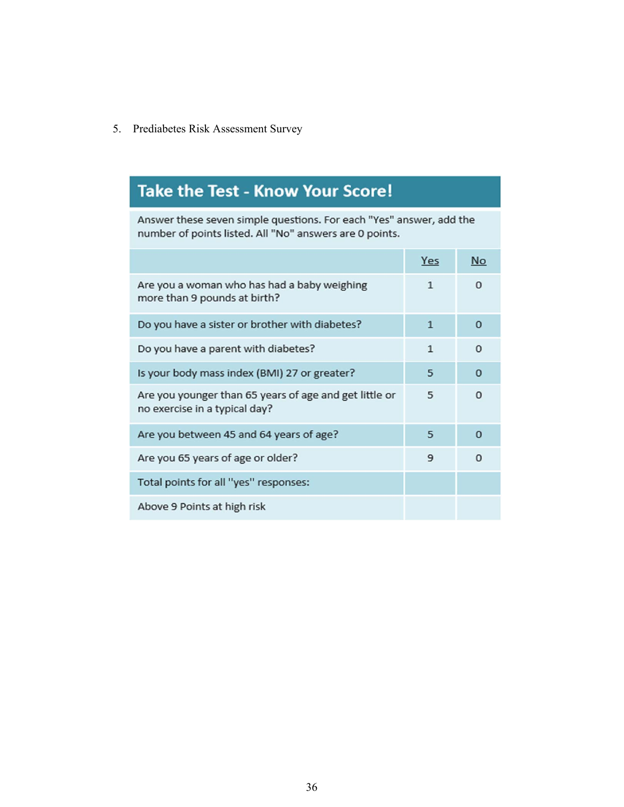## 5. Prediabetes Risk Assessment Survey

# **Take the Test - Know Your Score!**

Answer these seven simple questions. For each "Yes" answer, add the number of points listed. All "No" answers are 0 points.

|                                                                                         | Yes          | <b>No</b>    |
|-----------------------------------------------------------------------------------------|--------------|--------------|
| Are you a woman who has had a baby weighing<br>more than 9 pounds at birth?             | $\mathbf{1}$ | 0            |
| Do you have a sister or brother with diabetes?                                          | $\mathbf{1}$ | $\Omega$     |
| Do you have a parent with diabetes?                                                     | $\mathbf{1}$ | $\Omega$     |
| Is your body mass index (BMI) 27 or greater?                                            | 5            | $\mathbf{0}$ |
| Are you younger than 65 years of age and get little or<br>no exercise in a typical day? | 5            | $\Omega$     |
| Are you between 45 and 64 years of age?                                                 | 5            | $\Omega$     |
| Are you 65 years of age or older?                                                       | 9            | $\Omega$     |
| Total points for all "yes" responses:                                                   |              |              |
| Above 9 Points at high risk                                                             |              |              |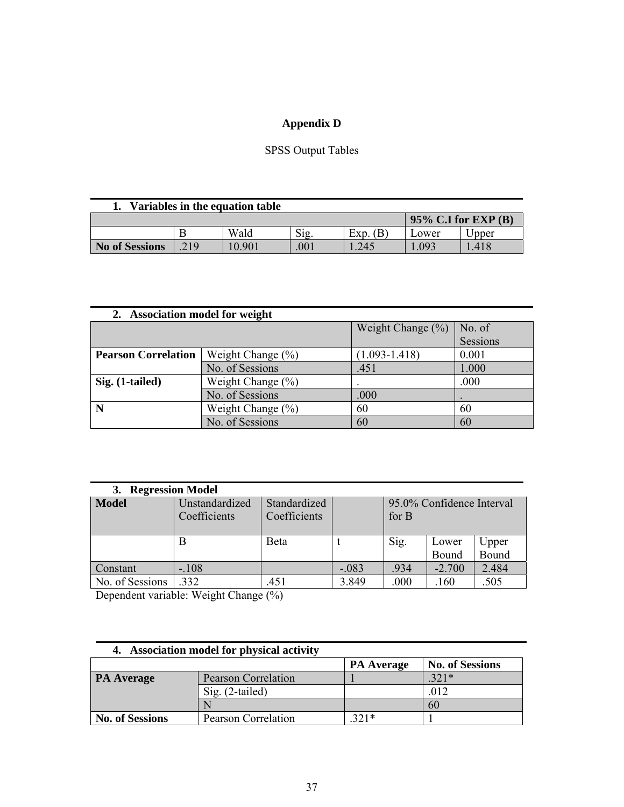## **Appendix D**

## SPSS Output Tables

| Variables in the equation table |                        |        |     |          |       |       |  |  |  |
|---------------------------------|------------------------|--------|-----|----------|-------|-------|--|--|--|
|                                 | $95\%$ C.I for EXP (B) |        |     |          |       |       |  |  |  |
|                                 |                        | Wald   | Sig | Exp. (B) | Lower | Jpper |  |  |  |
| No of Sessions                  | 219                    | 10.901 | 001 | 245      | 097   | .418  |  |  |  |

| 2. Association model for weight |                       |                       |          |
|---------------------------------|-----------------------|-----------------------|----------|
|                                 |                       | Weight Change $(\% )$ | No. of   |
|                                 |                       |                       | Sessions |
| <b>Pearson Correlation</b>      | Weight Change $(\% )$ | $(1.093 - 1.418)$     | 0.001    |
|                                 | No. of Sessions       | .451                  | 1.000    |
| Sig. (1-tailed)                 | Weight Change $(\% )$ | ٠                     | .000     |
|                                 | No. of Sessions       | .000                  |          |
| N                               | Weight Change $(\% )$ | 60                    | 60       |
|                                 | No. of Sessions       | 60                    | 60       |

| <b>Regression Model</b><br>3. |                                                                |              |         |                                    |          |              |  |  |  |  |
|-------------------------------|----------------------------------------------------------------|--------------|---------|------------------------------------|----------|--------------|--|--|--|--|
| Model                         | Unstandardized<br>Standardized<br>Coefficients<br>Coefficients |              |         | 95.0% Confidence Interval<br>for B |          |              |  |  |  |  |
|                               | B                                                              | <b>B</b> eta |         | Sig.                               | Lower    | Upper        |  |  |  |  |
|                               |                                                                |              |         |                                    | Bound    | <b>Bound</b> |  |  |  |  |
| Constant                      | $-.108$                                                        |              | $-.083$ | .934                               | $-2.700$ | 2.484        |  |  |  |  |
| No. of Sessions               | 332                                                            | .451         | 3.849   | .000                               | .160     | .505         |  |  |  |  |

Dependent variable: Weight Change (%)

| 4. Association model for physical activity |                            |                   |                        |  |  |  |  |  |  |
|--------------------------------------------|----------------------------|-------------------|------------------------|--|--|--|--|--|--|
|                                            |                            | <b>PA</b> Average | <b>No. of Sessions</b> |  |  |  |  |  |  |
| <b>PA</b> Average                          | <b>Pearson Correlation</b> |                   | $321*$                 |  |  |  |  |  |  |
|                                            | $Sig.$ (2-tailed)          |                   | .012                   |  |  |  |  |  |  |
|                                            |                            |                   | 60                     |  |  |  |  |  |  |
| <b>No. of Sessions</b>                     | Pearson Correlation        | $321*$            |                        |  |  |  |  |  |  |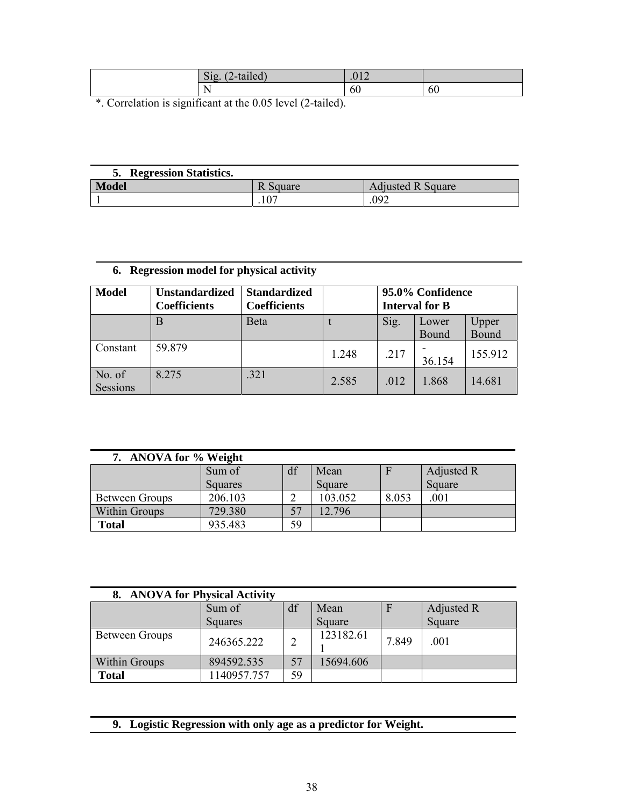| Sig.<br>2-tailed)<br>$\sqrt{2}$ | 010<br>U14 |    |
|---------------------------------|------------|----|
| $\mathbf{v}$<br>N.<br>. .       | 60         | 60 |

\*. Correlation is significant at the 0.05 level (2-tailed).

| <b>Regression Statistics.</b> |          |                          |
|-------------------------------|----------|--------------------------|
| Model                         | R Square | <b>Adjusted R Square</b> |
|                               | $10-$    | 092                      |

## **6. Regression model for physical activity**

| <b>Model</b>       | <b>Unstandardized</b><br><b>Coefficients</b> | <b>Standardized</b><br><b>Coefficients</b> |       | 95.0% Confidence<br><b>Interval for B</b> |                |                       |
|--------------------|----------------------------------------------|--------------------------------------------|-------|-------------------------------------------|----------------|-----------------------|
|                    | B                                            | <b>B</b> eta                               |       | Sig.                                      | Lower<br>Bound | Upper<br><b>Bound</b> |
| Constant           | 59.879                                       |                                            | 1.248 | .217                                      | 36.154         | 155.912               |
| No. of<br>Sessions | 8.275                                        | .321                                       | 2.585 | .012                                      | 1.868          | 14.681                |

| 7. ANOVA for % Weight |                |    |         |       |            |  |  |  |  |  |
|-----------------------|----------------|----|---------|-------|------------|--|--|--|--|--|
|                       | Sum of         | df | Mean    | F     | Adjusted R |  |  |  |  |  |
|                       | <b>Squares</b> |    | Square  |       | Square     |  |  |  |  |  |
| Between Groups        | 206.103        |    | 103.052 | 8.053 | .001       |  |  |  |  |  |
| Within Groups         | 729.380        | 57 | 12.796  |       |            |  |  |  |  |  |
| <b>Total</b>          | 935.483        | 59 |         |       |            |  |  |  |  |  |

| 8. ANOVA for Physical Activity |                |    |           |       |            |  |  |
|--------------------------------|----------------|----|-----------|-------|------------|--|--|
|                                | Sum of         | df | Mean      | F     | Adjusted R |  |  |
|                                | <b>Squares</b> |    | Square    |       | Square     |  |  |
| Between Groups                 | 246365.222     | 2  | 123182.61 | 7.849 | .001       |  |  |
| Within Groups                  | 894592.535     | 57 | 15694.606 |       |            |  |  |
| <b>Total</b>                   | 1140957.757    | 59 |           |       |            |  |  |

**9. Logistic Regression with only age as a predictor for Weight.**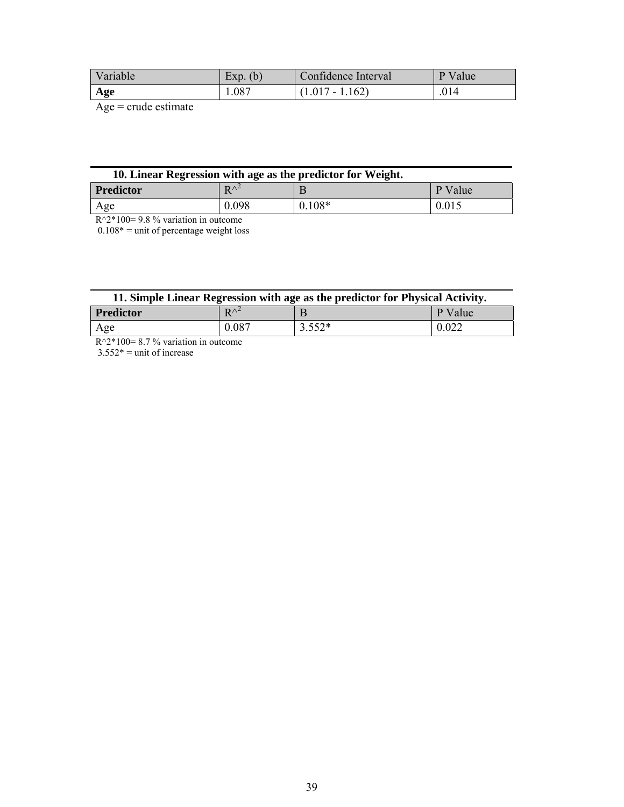| Variable | (b)<br>EXD. | Confidence Interval | Value<br>Ρ |
|----------|-------------|---------------------|------------|
| Age      | 1.087       | $(1.017 - 1.162)$   | .014       |

Age = crude estimate

| 10. Linear Regression with age as the predictor for Weight. |  |  |  |
|-------------------------------------------------------------|--|--|--|
|                                                             |  |  |  |

| <b>Predictor</b> | $\mathbf{D} \wedge^2$<br>-- | . .      | Value<br>v |
|------------------|-----------------------------|----------|------------|
| Age              | 0.098                       | $0.108*$ | 0.015      |

 $R^2*100= 9.8$  % variation in outcome

 $0.108*$  = unit of percentage weight loss

|  |  | 11. Simple Linear Regression with age as the predictor for Physical Activity. |
|--|--|-------------------------------------------------------------------------------|
|  |  |                                                                               |

| <b>Predictor</b> | $\mathbf{D} \wedge \mathbf{L}$<br>- | . .               | T<br>alue<br><br>л. |
|------------------|-------------------------------------|-------------------|---------------------|
| Age              | 0.087                               | $552*$<br>ے ں . ب | $\Omega$<br>V.VZZ   |

 $R^2*100= 8.7$  % variation in outcome

 $3.552*$  = unit of increase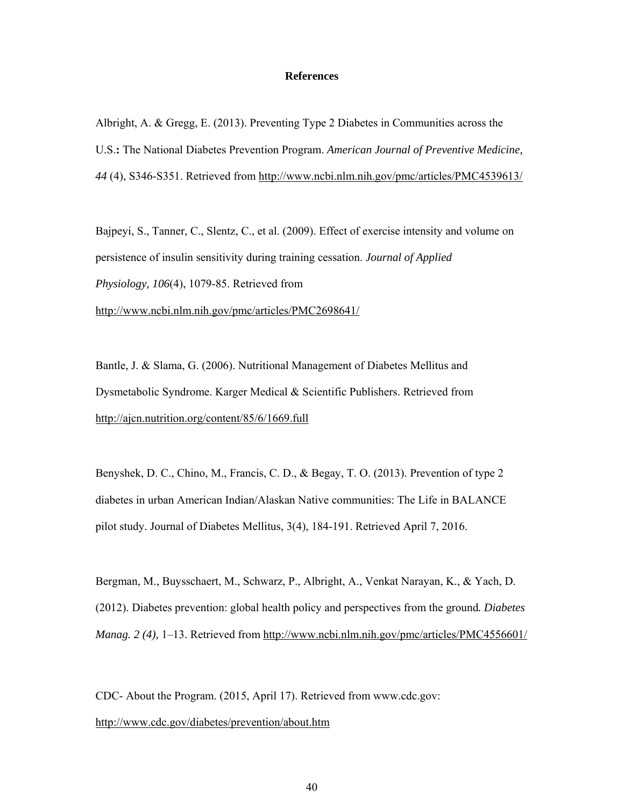#### **References**

Albright, A. & Gregg, E. (2013). Preventing Type 2 Diabetes in Communities across the U.S.**:** The National Diabetes Prevention Program. *American Journal of Preventive Medicine, 44* (4), S346-S351. Retrieved from http://www.ncbi.nlm.nih.gov/pmc/articles/PMC4539613/

Bajpeyi, S., Tanner, C., Slentz, C., et al. (2009). Effect of exercise intensity and volume on persistence of insulin sensitivity during training cessation. *Journal of Applied Physiology, 106*(4), 1079-85. Retrieved from http://www.ncbi.nlm.nih.gov/pmc/articles/PMC2698641/

Bantle, J. & Slama, G. (2006). Nutritional Management of Diabetes Mellitus and Dysmetabolic Syndrome. Karger Medical & Scientific Publishers. Retrieved from http://ajcn.nutrition.org/content/85/6/1669.full

Benyshek, D. C., Chino, M., Francis, C. D., & Begay, T. O. (2013). Prevention of type 2 diabetes in urban American Indian/Alaskan Native communities: The Life in BALANCE pilot study. Journal of Diabetes Mellitus, 3(4), 184-191. Retrieved April 7, 2016.

Bergman, M., Buysschaert, M., Schwarz, P., Albright, A., Venkat Narayan, K., & Yach, D. (2012). Diabetes prevention: global health policy and perspectives from the ground*. Diabetes Manag. 2 (4),* 1–13. Retrieved from http://www.ncbi.nlm.nih.gov/pmc/articles/PMC4556601/

CDC- About the Program. (2015, April 17). Retrieved from www.cdc.gov: http://www.cdc.gov/diabetes/prevention/about.htm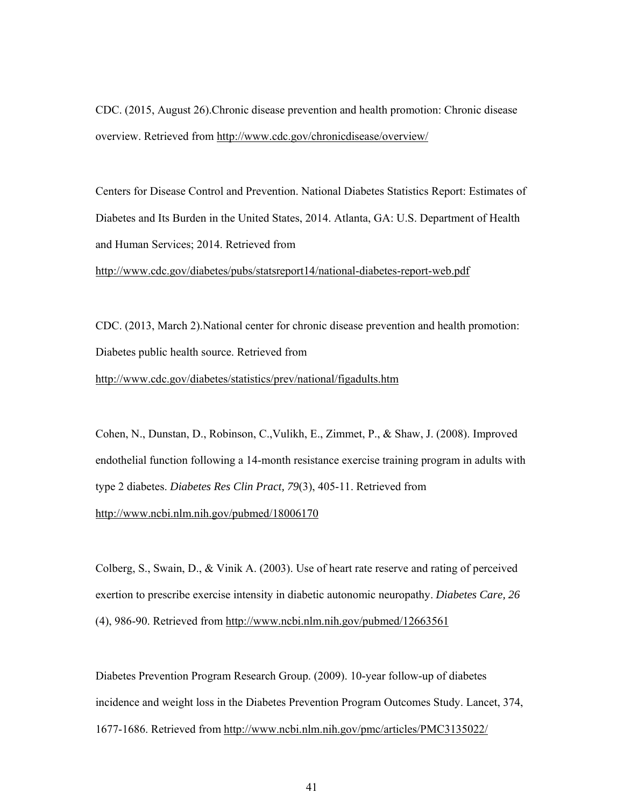CDC. (2015, August 26).Chronic disease prevention and health promotion: Chronic disease overview. Retrieved from http://www.cdc.gov/chronicdisease/overview/

Centers for Disease Control and Prevention. National Diabetes Statistics Report: Estimates of Diabetes and Its Burden in the United States, 2014. Atlanta, GA: U.S. Department of Health and Human Services; 2014. Retrieved from

http://www.cdc.gov/diabetes/pubs/statsreport14/national-diabetes-report-web.pdf

CDC. (2013, March 2).National center for chronic disease prevention and health promotion: Diabetes public health source. Retrieved from

http://www.cdc.gov/diabetes/statistics/prev/national/figadults.htm

Cohen, N., Dunstan, D., Robinson, C.,Vulikh, E., Zimmet, P., & Shaw, J. (2008). Improved endothelial function following a 14-month resistance exercise training program in adults with type 2 diabetes. *Diabetes Res Clin Pract, 79*(3), 405-11. Retrieved from http://www.ncbi.nlm.nih.gov/pubmed/18006170

Colberg, S., Swain, D., & Vinik A. (2003). Use of heart rate reserve and rating of perceived exertion to prescribe exercise intensity in diabetic autonomic neuropathy. *Diabetes Care, 26* (4), 986-90. Retrieved from http://www.ncbi.nlm.nih.gov/pubmed/12663561

Diabetes Prevention Program Research Group. (2009). 10-year follow-up of diabetes incidence and weight loss in the Diabetes Prevention Program Outcomes Study. Lancet, 374, 1677-1686. Retrieved from http://www.ncbi.nlm.nih.gov/pmc/articles/PMC3135022/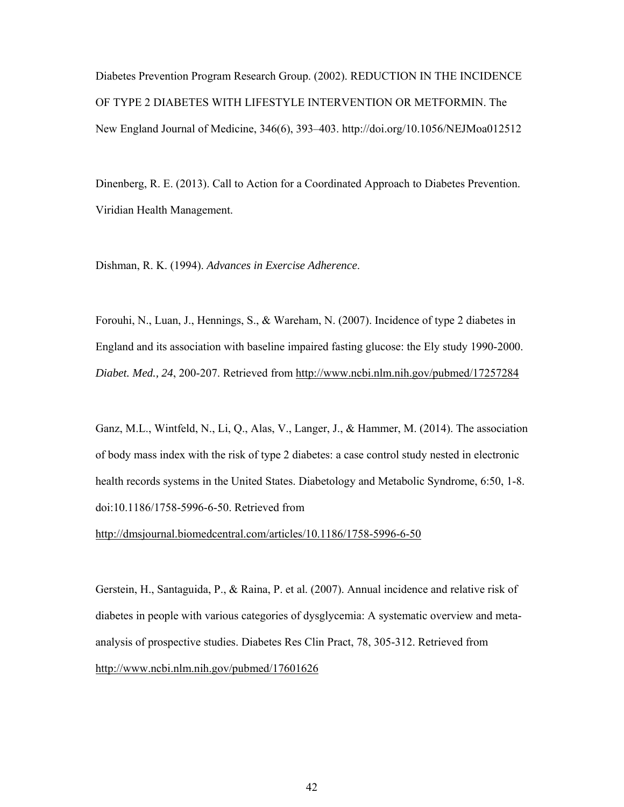Diabetes Prevention Program Research Group. (2002). REDUCTION IN THE INCIDENCE OF TYPE 2 DIABETES WITH LIFESTYLE INTERVENTION OR METFORMIN. The New England Journal of Medicine, 346(6), 393–403. http://doi.org/10.1056/NEJMoa012512

Dinenberg, R. E. (2013). Call to Action for a Coordinated Approach to Diabetes Prevention. Viridian Health Management.

Dishman, R. K. (1994). *Advances in Exercise Adherence*.

Forouhi, N., Luan, J., Hennings, S., & Wareham, N. (2007). Incidence of type 2 diabetes in England and its association with baseline impaired fasting glucose: the Ely study 1990-2000. *Diabet. Med., 24*, 200-207. Retrieved from http://www.ncbi.nlm.nih.gov/pubmed/17257284

Ganz, M.L., Wintfeld, N., Li, Q., Alas, V., Langer, J., & Hammer, M. (2014). The association of body mass index with the risk of type 2 diabetes: a case control study nested in electronic health records systems in the United States. Diabetology and Metabolic Syndrome, 6:50, 1-8. doi:10.1186/1758-5996-6-50. Retrieved from

http://dmsjournal.biomedcentral.com/articles/10.1186/1758-5996-6-50

Gerstein, H., Santaguida, P., & Raina, P. et al. (2007). Annual incidence and relative risk of diabetes in people with various categories of dysglycemia: A systematic overview and metaanalysis of prospective studies. Diabetes Res Clin Pract, 78, 305-312. Retrieved from http://www.ncbi.nlm.nih.gov/pubmed/17601626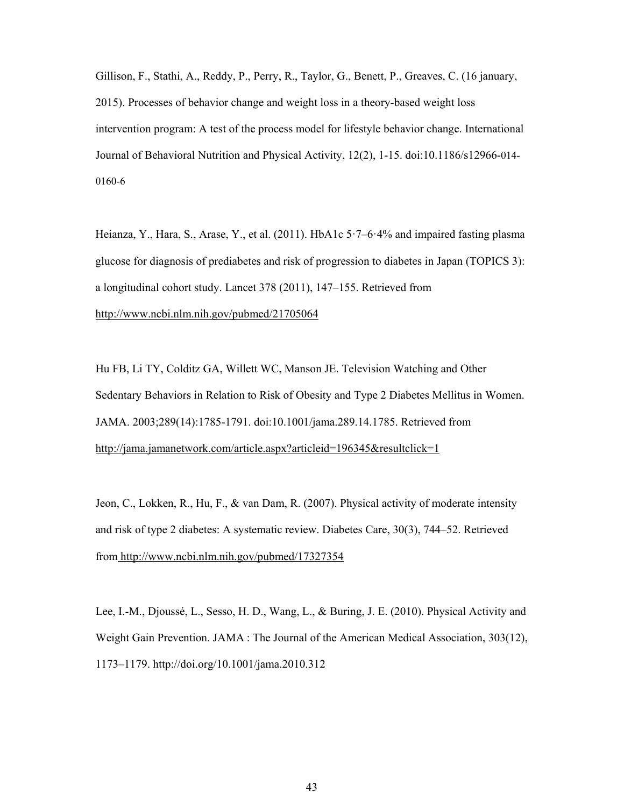Gillison, F., Stathi, A., Reddy, P., Perry, R., Taylor, G., Benett, P., Greaves, C. (16 january, 2015). Processes of behavior change and weight loss in a theory-based weight loss intervention program: A test of the process model for lifestyle behavior change. International Journal of Behavioral Nutrition and Physical Activity, 12(2), 1-15. doi:10.1186/s12966-014- 0160-6

Heianza, Y., Hara, S., Arase, Y., et al. (2011). HbA1c 5·7–6·4% and impaired fasting plasma glucose for diagnosis of prediabetes and risk of progression to diabetes in Japan (TOPICS 3): a longitudinal cohort study. Lancet 378 (2011), 147–155. Retrieved from http://www.ncbi.nlm.nih.gov/pubmed/21705064

Hu FB, Li TY, Colditz GA, Willett WC, Manson JE. Television Watching and Other Sedentary Behaviors in Relation to Risk of Obesity and Type 2 Diabetes Mellitus in Women. JAMA. 2003;289(14):1785-1791. doi:10.1001/jama.289.14.1785. Retrieved from http://jama.jamanetwork.com/article.aspx?articleid=196345&resultclick=1

Jeon, C., Lokken, R., Hu, F., & van Dam, R. (2007). Physical activity of moderate intensity and risk of type 2 diabetes: A systematic review. Diabetes Care, 30(3), 744–52. Retrieved from http://www.ncbi.nlm.nih.gov/pubmed/17327354

Lee, I.-M., Djoussé, L., Sesso, H. D., Wang, L., & Buring, J. E. (2010). Physical Activity and Weight Gain Prevention. JAMA : The Journal of the American Medical Association, 303(12), 1173–1179. http://doi.org/10.1001/jama.2010.312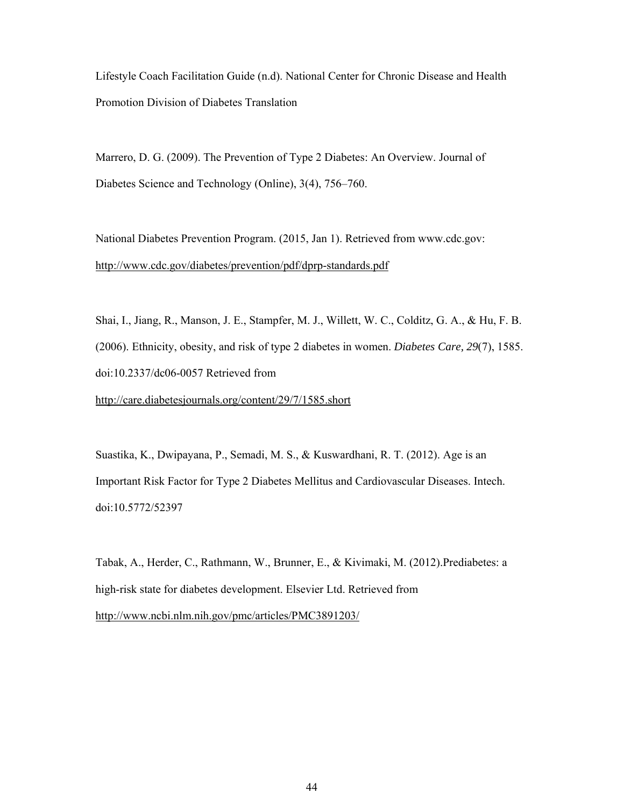Lifestyle Coach Facilitation Guide (n.d). National Center for Chronic Disease and Health Promotion Division of Diabetes Translation

Marrero, D. G. (2009). The Prevention of Type 2 Diabetes: An Overview. Journal of Diabetes Science and Technology (Online), 3(4), 756–760.

National Diabetes Prevention Program. (2015, Jan 1). Retrieved from www.cdc.gov: http://www.cdc.gov/diabetes/prevention/pdf/dprp-standards.pdf

Shai, I., Jiang, R., Manson, J. E., Stampfer, M. J., Willett, W. C., Colditz, G. A., & Hu, F. B. (2006). Ethnicity, obesity, and risk of type 2 diabetes in women. *Diabetes Care, 29*(7), 1585. doi:10.2337/dc06-0057 Retrieved from

http://care.diabetesjournals.org/content/29/7/1585.short

Suastika, K., Dwipayana, P., Semadi, M. S., & Kuswardhani, R. T. (2012). Age is an Important Risk Factor for Type 2 Diabetes Mellitus and Cardiovascular Diseases. Intech. doi:10.5772/52397

Tabak, A., Herder, C., Rathmann, W., Brunner, E., & Kivimaki, M. (2012).Prediabetes: a high-risk state for diabetes development. Elsevier Ltd. Retrieved from http://www.ncbi.nlm.nih.gov/pmc/articles/PMC3891203/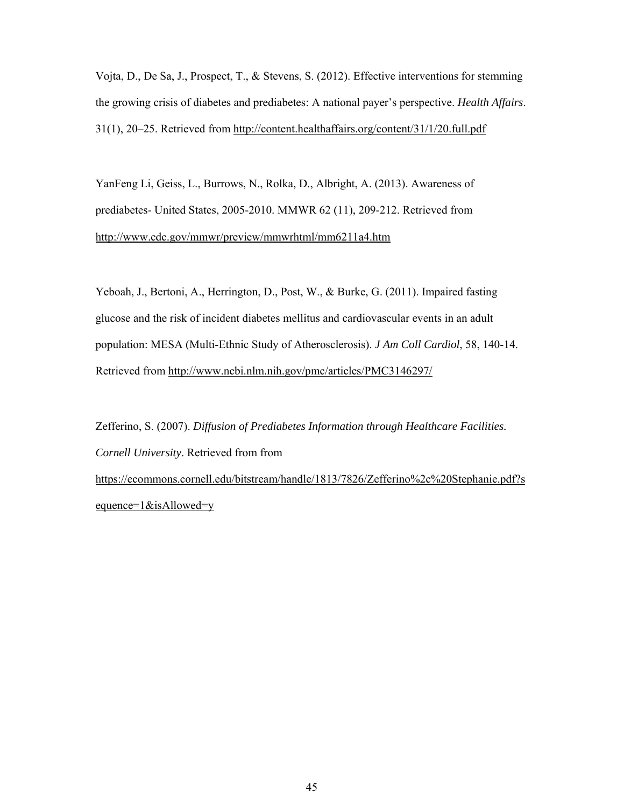Vojta, D., De Sa, J., Prospect, T., & Stevens, S. (2012). Effective interventions for stemming the growing crisis of diabetes and prediabetes: A national payer's perspective. *Health Affairs*. 31(1), 20–25. Retrieved from http://content.healthaffairs.org/content/31/1/20.full.pdf

YanFeng Li, Geiss, L., Burrows, N., Rolka, D., Albright, A. (2013). Awareness of prediabetes- United States, 2005-2010. MMWR 62 (11), 209-212. Retrieved from http://www.cdc.gov/mmwr/preview/mmwrhtml/mm6211a4.htm

Yeboah, J., Bertoni, A., Herrington, D., Post, W., & Burke, G. (2011). Impaired fasting glucose and the risk of incident diabetes mellitus and cardiovascular events in an adult population: MESA (Multi-Ethnic Study of Atherosclerosis). *J Am Coll Cardiol*, 58, 140-14. Retrieved from http://www.ncbi.nlm.nih.gov/pmc/articles/PMC3146297/

Zefferino, S. (2007). *Diffusion of Prediabetes Information through Healthcare Facilities. Cornell University*. Retrieved from from https://ecommons.cornell.edu/bitstream/handle/1813/7826/Zefferino%2c%20Stephanie.pdf?s equence=1&isAllowed=y